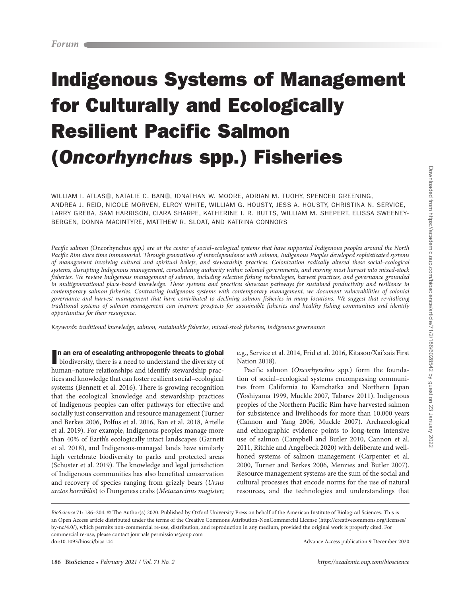# Indigenous Systems of Management for Culturally and Ecologically Resilient Pacific Salmon (Oncorhynchus spp.) Fisheries

WILLIAM I. ATLAS®[,](http://orcid.org/0000-0002-7090-6233) [N](http://orcid.org/0000-0002-4682-2144)ATALIE C. BAN®, JONATHAN W. MOORE, ADRIAN M. TUOHY, SPENCER GREENING, ANDREA J. REID, NICOLE MORVEN, ELROY WHITE, WILLIAM G. HOUSTY, JESS A. HOUSTY, CHRISTINA N. SERVICE, LARRY GREBA, SAM HARRISON, CIARA SHARPE, KATHERINE I. R. BUTTS, WILLIAM M. SHEPERT, ELISSA SWEENEY-BERGEN, DONNA MACINTYRE, MATTHEW R. SLOAT, AND KATRINA CONNORS

Pacific salmon (Oncorhynchus spp.) are at the center of social–ecological systems that have supported Indigenous peoples around the North Pacific Rim since time immemorial. Through generations of interdependence with salmon, Indigenous Peoples developed sophisticated systems of management involving cultural and spiritual beliefs, and stewardship practices. Colonization radically altered these social–ecological systems, disrupting Indigenous management, consolidating authority within colonial governments, and moving most harvest into mixed-stock fisheries. We review Indigenous management of salmon, including selective fishing technologies, harvest practices, and governance grounded in multigenerational place-based knowledge. These systems and practices showcase pathways for sustained productivity and resilience in contemporary salmon fisheries. Contrasting Indigenous systems with contemporary management, we document vulnerabilities of colonial governance and harvest management that have contributed to declining salmon fisheries in many locations. We suggest that revitalizing traditional systems of salmon management can improve prospects for sustainable fisheries and healthy fishing communities and identify opportunities for their resurgence.

Keywords: traditional knowledge, salmon, sustainable fisheries, mixed-stock fisheries, Indigenous governance

n an era of escalating anthropogenic threats to global

In an era of escalating anthropogenic threats to global<br>biodiversity, there is a need to understand the diversity of human–nature relationships and identify stewardship practices and knowledge that can foster resilient social–ecological systems (Bennett et al. 2016). There is growing recognition that the ecological knowledge and stewardship practices of Indigenous peoples can offer pathways for effective and socially just conservation and resource management (Turner and Berkes 2006, Polfus et al. 2016, Ban et al. 2018, Artelle et al. 2019). For example, Indigenous peoples manage more than 40% of Earth's ecologically intact landscapes (Garnett et al. 2018), and Indigenous-managed lands have similarly high vertebrate biodiversity to parks and protected areas (Schuster et al. 2019). The knowledge and legal jurisdiction of Indigenous communities has also benefited conservation and recovery of species ranging from grizzly bears (Ursus arctos horribilis) to Dungeness crabs (Metacarcinus magister;

e.g., Service et al. 2014, Frid et al. 2016, Kitasoo/Xai'xais First Nation 2018).

Pacific salmon (Oncorhynchus spp.) form the foundation of social–ecological systems encompassing communities from California to Kamchatka and Northern Japan (Yoshiyama 1999, Muckle 2007, Tabarev 2011). Indigenous peoples of the Northern Pacific Rim have harvested salmon for subsistence and livelihoods for more than 10,000 years (Cannon and Yang 2006, Muckle 2007). Archaeological and ethnographic evidence points to long-term intensive use of salmon (Campbell and Butler 2010, Cannon et al. 2011, Ritchie and Angelbeck 2020) with deliberate and wellhoned systems of salmon management (Carpenter et al. 2000, Turner and Berkes 2006, Menzies and Butler 2007). Resource management systems are the sum of the social and cultural processes that encode norms for the use of natural resources, and the technologies and understandings that

BioScience 71: 186-204. © The Author(s) 2020. Published by Oxford University Press on behalf of the American Institute of Biological Sciences. This is an Open Access article distributed under the terms of the Creative Commons Attribution-NonCommercial License (http://creativecommons.org/licenses/ by-nc/4.0/), which permits non-commercial re-use, distribution, and reproduction in any medium, provided the original work is properly cited. For commercial re-use, please contact journals.permissions@oup.com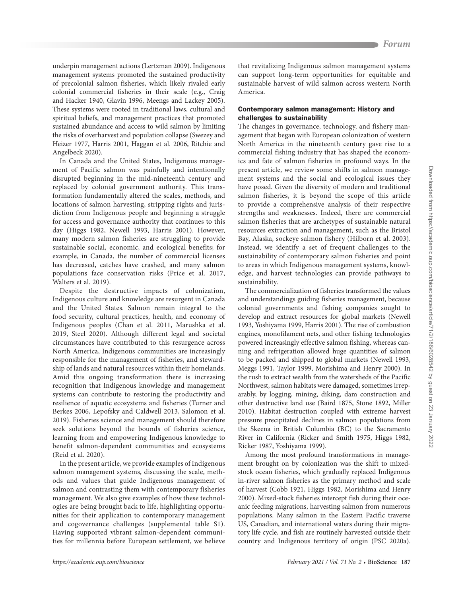underpin management actions (Lertzman 2009). Indigenous management systems promoted the sustained productivity of precolonial salmon fisheries, which likely rivaled early colonial commercial fisheries in their scale (e.g., Craig and Hacker 1940, Glavin 1996, Meengs and Lackey 2005). These systems were rooted in traditional laws, cultural and spiritual beliefs, and management practices that promoted sustained abundance and access to wild salmon by limiting the risks of overharvest and population collapse (Swezey and Heizer 1977, Harris 2001, Haggan et al. 2006, Ritchie and Angelbeck 2020).

In Canada and the United States, Indigenous management of Pacific salmon was painfully and intentionally disrupted beginning in the mid-nineteenth century and replaced by colonial government authority. This transformation fundamentally altered the scales, methods, and locations of salmon harvesting, stripping rights and jurisdiction from Indigenous people and beginning a struggle for access and governance authority that continues to this day (Higgs 1982, Newell 1993, Harris 2001). However, many modern salmon fisheries are struggling to provide sustainable social, economic, and ecological benefits; for example, in Canada, the number of commercial licenses has decreased, catches have crashed, and many salmon populations face conservation risks (Price et al. 2017, Walters et al. 2019).

Despite the destructive impacts of colonization, Indigenous culture and knowledge are resurgent in Canada and the United States. Salmon remain integral to the food security, cultural practices, health, and economy of Indigenous peoples (Chan et al. 2011, Marushka et al. 2019, Steel 2020). Although different legal and societal circumstances have contributed to this resurgence across North America, Indigenous communities are increasingly responsible for the management of fisheries, and stewardship of lands and natural resources within their homelands. Amid this ongoing transformation there is increasing recognition that Indigenous knowledge and management systems can contribute to restoring the productivity and resilience of aquatic ecosystems and fisheries (Turner and Berkes 2006, Lepofsky and Caldwell 2013, Salomon et al. 2019). Fisheries science and management should therefore seek solutions beyond the bounds of fisheries science, learning from and empowering Indigenous knowledge to benefit salmon-dependent communities and ecosystems (Reid et al. 2020).

In the present article, we provide examples of Indigenous salmon management systems, discussing the scale, methods and values that guide Indigenous management of salmon and contrasting them with contemporary fisheries management. We also give examples of how these technologies are being brought back to life, highlighting opportunities for their application to contemporary management and cogovernance challenges (supplemental table S1). Having supported vibrant salmon-dependent communities for millennia before European settlement, we believe

that revitalizing Indigenous salmon management systems can support long-term opportunities for equitable and sustainable harvest of wild salmon across western North America.

## Contemporary salmon management: History and challenges to sustainability

The changes in governance, technology, and fishery management that began with European colonization of western North America in the nineteenth century gave rise to a commercial fishing industry that has shaped the economics and fate of salmon fisheries in profound ways. In the present article, we review some shifts in salmon management systems and the social and ecological issues they have posed. Given the diversity of modern and traditional salmon fisheries, it is beyond the scope of this article to provide a comprehensive analysis of their respective strengths and weaknesses. Indeed, there are commercial salmon fisheries that are archetypes of sustainable natural resources extraction and management, such as the Bristol Bay, Alaska, sockeye salmon fishery (Hilborn et al. 2003). Instead, we identify a set of frequent challenges to the sustainability of contemporary salmon fisheries and point to areas in which Indigenous management systems, knowledge, and harvest technologies can provide pathways to sustainability.

The commercialization of fisheries transformed the values and understandings guiding fisheries management, because colonial governments and fishing companies sought to develop and extract resources for global markets (Newell 1993, Yoshiyama 1999, Harris 2001). The rise of combustion engines, monofilament nets, and other fishing technologies powered increasingly effective salmon fishing, whereas canning and refrigeration allowed huge quantities of salmon to be packed and shipped to global markets (Newell 1993, Meggs 1991, Taylor 1999, Morishima and Henry 2000). In the rush to extract wealth from the watersheds of the Pacific Northwest, salmon habitats were damaged, sometimes irreparably, by logging, mining, diking, dam construction and other destructive land use (Baird 1875, Stone 1892, Miller 2010). Habitat destruction coupled with extreme harvest pressure precipitated declines in salmon populations from the Skeena in British Columbia (BC) to the Sacramento River in California (Ricker and Smith 1975, Higgs 1982, Ricker 1987, Yoshiyama 1999).

Among the most profound transformations in management brought on by colonization was the shift to mixedstock ocean fisheries, which gradually replaced Indigenous in-river salmon fisheries as the primary method and scale of harvest (Cobb 1921, Higgs 1982, Morishima and Henry 2000). Mixed-stock fisheries intercept fish during their oceanic feeding migrations, harvesting salmon from numerous populations. Many salmon in the Eastern Pacific traverse US, Canadian, and international waters during their migratory life cycle, and fish are routinely harvested outside their country and Indigenous territory of origin (PSC 2020a).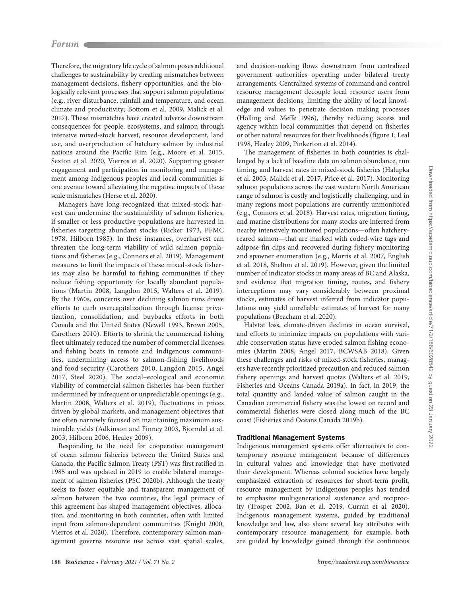Therefore, the migratory life cycle of salmon poses additional challenges to sustainability by creating mismatches between management decisions, fishery opportunities, and the biologically relevant processes that support salmon populations (e.g., river disturbance, rainfall and temperature, and ocean climate and productivity; Bottom et al. 2009, Malick et al. 2017). These mismatches have created adverse downstream consequences for people, ecosystems, and salmon through intensive mixed-stock harvest, resource development, land use, and overproduction of hatchery salmon by industrial nations around the Pacific Rim (e.g., Moore et al. 2015, Sexton et al. 2020, Vierros et al. 2020). Supporting greater engagement and participation in monitoring and management among Indigenous peoples and local communities is one avenue toward alleviating the negative impacts of these scale mismatches (Herse et al. 2020).

Managers have long recognized that mixed-stock harvest can undermine the sustainability of salmon fisheries, if smaller or less productive populations are harvested in fisheries targeting abundant stocks (Ricker 1973, PFMC 1978, Hilborn 1985). In these instances, overharvest can threaten the long-term viability of wild salmon populations and fisheries (e.g., Connors et al. 2019). Management measures to limit the impacts of these mixed-stock fisheries may also be harmful to fishing communities if they reduce fishing opportunity for locally abundant populations (Martin 2008, Langdon 2015, Walters et al. 2019). By the 1960s, concerns over declining salmon runs drove efforts to curb overcapitalization through license privatization, consolidation, and buybacks efforts in both Canada and the United States (Newell 1993, Brown 2005, Carothers 2010). Efforts to shrink the commercial fishing fleet ultimately reduced the number of commercial licenses and fishing boats in remote and Indigenous communities, undermining access to salmon-fishing livelihoods and food security (Carothers 2010, Langdon 2015, Angel 2017, Steel 2020). The social–ecological and economic viability of commercial salmon fisheries has been further undermined by infrequent or unpredictable openings (e.g., Martin 2008, Walters et al. 2019), fluctuations in prices driven by global markets, and management objectives that are often narrowly focused on maintaining maximum sustainable yields (Adkinson and Finney 2003, Bjorndal et al. 2003, Hilborn 2006, Healey 2009).

Responding to the need for cooperative management of ocean salmon fisheries between the United States and Canada, the Pacific Salmon Treaty (PST) was first ratified in 1985 and was updated in 2019 to enable bilateral management of salmon fisheries (PSC 2020b). Although the treaty seeks to foster equitable and transparent management of salmon between the two countries, the legal primacy of this agreement has shaped management objectives, allocation, and monitoring in both countries, often with limited input from salmon-dependent communities (Knight 2000, Vierros et al. 2020). Therefore, contemporary salmon management governs resource use across vast spatial scales,

and decision-making flows downstream from centralized government authorities operating under bilateral treaty arrangements. Centralized systems of command and control resource management decouple local resource users from management decisions, limiting the ability of local knowledge and values to penetrate decision making processes (Holling and Meffe 1996), thereby reducing access and agency within local communities that depend on fisheries or other natural resources for their livelihoods (figure 1; Leal 1998, Healey 2009, Pinkerton et al. 2014).

The management of fisheries in both countries is challenged by a lack of baseline data on salmon abundance, run timing, and harvest rates in mixed-stock fisheries (Halupka et al. 2003, Malick et al. 2017, Price et al. 2017). Monitoring salmon populations across the vast western North American range of salmon is costly and logistically challenging, and in many regions most populations are currently unmonitored (e.g., Connors et al. 2018). Harvest rates, migration timing, and marine distributions for many stocks are inferred from nearby intensively monitored populations—often hatcheryreared salmon—that are marked with coded-wire tags and adipose fin clips and recovered during fishery monitoring and spawner enumeration (e.g., Morris et al. 2007, English et al. 2018, Shelton et al. 2019). However, given the limited number of indicator stocks in many areas of BC and Alaska, and evidence that migration timing, routes, and fishery interceptions may vary considerably between proximal stocks, estimates of harvest inferred from indicator populations may yield unreliable estimates of harvest for many populations (Beacham et al. 2020).

Habitat loss, climate-driven declines in ocean survival, and efforts to minimize impacts on populations with variable conservation status have eroded salmon fishing economies (Martin 2008, Angel 2017, BCWSAB 2018). Given these challenges and risks of mixed-stock fisheries, managers have recently prioritized precaution and reduced salmon fishery openings and harvest quotas (Walters et al. 2019, Fisheries and Oceans Canada 2019a). In fact, in 2019, the total quantity and landed value of salmon caught in the Canadian commercial fishery was the lowest on record and commercial fisheries were closed along much of the BC coast (Fisheries and Oceans Canada 2019b).

## Traditional Management Systems

Indigenous management systems offer alternatives to contemporary resource management because of differences in cultural values and knowledge that have motivated their development. Whereas colonial societies have largely emphasized extraction of resources for short-term profit, resource management by Indigenous peoples has tended to emphasize multigenerational sustenance and reciprocity (Trosper 2002, Ban et al. 2019, Curran et al. 2020). Indigenous management systems, guided by traditional knowledge and law, also share several key attributes with contemporary resource management; for example, both are guided by knowledge gained through the continuous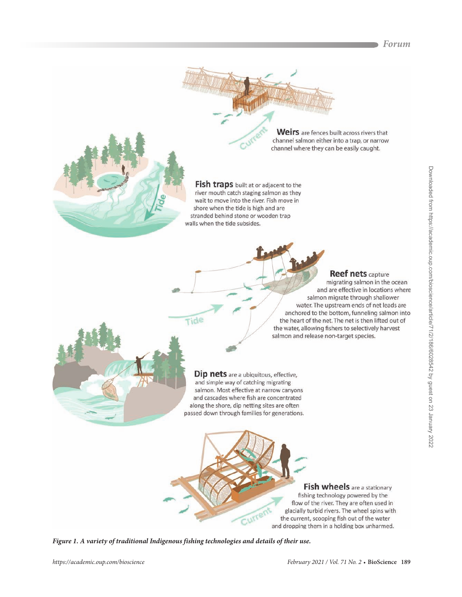**Forum**





Fish traps built at or adjacent to the river mouth catch staging salmon as they wait to move into the river. Fish move in shore when the tide is high and are stranded behind stone or wooden trap walls when the tide subsides.

**Reef nets capture** 

migrating salmon in the ocean and are effective in locations where salmon migrate through shallower water. The upstream ends of net leads are anchored to the bottom, funneling salmon into the heart of the net. The net is then lifted out of the water, allowing fishers to selectively harvest salmon and release non-target species.

channel where they can be easily caught.

Dip nets are a ubiquitous, effective, and simple way of catching migrating salmon. Most effective at narrow canyons and cascades where fish are concentrated along the shore, dip netting sites are often passed down through families for generations.

> **Fish wheels** are a stationary fishing technology powered by the flow of the river. They are often used in glacially turbid rivers. The wheel spins with the current, scooping fish out of the water and dropping them in a holding box unharmed.

**Figure 1. A variety of traditional Indigenous fishing technologies and details of their use.**

Tide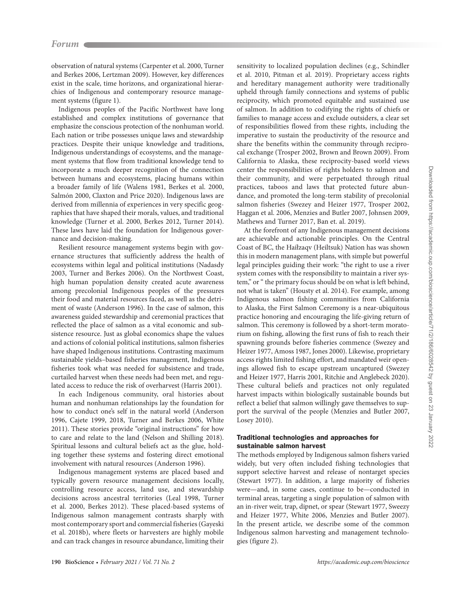observation of natural systems (Carpenter et al. 2000, Turner and Berkes 2006, Lertzman 2009). However, key differences exist in the scale, time horizons, and organizational hierarchies of Indigenous and contemporary resource management systems (figure 1).

Indigenous peoples of the Pacific Northwest have long established and complex institutions of governance that emphasize the conscious protection of the nonhuman world. Each nation or tribe possesses unique laws and stewardship practices. Despite their unique knowledge and traditions, Indigenous understandings of ecosystems, and the management systems that flow from traditional knowledge tend to incorporate a much deeper recognition of the connection between humans and ecosystems, placing humans within a broader family of life (Walens 1981, Berkes et al. 2000, Salmón 2000, Claxton and Price 2020). Indigenous laws are derived from millennia of experiences in very specific geographies that have shaped their morals, values, and traditional knowledge (Turner et al. 2000, Berkes 2012, Turner 2014). These laws have laid the foundation for Indigenous governance and decision-making.

Resilient resource management systems begin with governance structures that sufficiently address the health of ecosystems within legal and political institutions (Nadasdy 2003, Turner and Berkes 2006). On the Northwest Coast, high human population density created acute awareness among precolonial Indigenous peoples of the pressures their food and material resources faced, as well as the detriment of waste (Anderson 1996). In the case of salmon, this awareness guided stewardship and ceremonial practices that reflected the place of salmon as a vital economic and subsistence resource. Just as global economics shape the values and actions of colonial political institutions, salmon fisheries have shaped Indigenous institutions. Contrasting maximum sustainable yields–based fisheries management, Indigenous fisheries took what was needed for subsistence and trade, curtailed harvest when these needs had been met, and regulated access to reduce the risk of overharvest (Harris 2001).

In each Indigenous community, oral histories about human and nonhuman relationships lay the foundation for how to conduct one's self in the natural world (Anderson 1996, Cajete 1999, 2018, Turner and Berkes 2006, White 2011). These stories provide "original instructions" for how to care and relate to the land (Nelson and Shilling 2018). Spiritual lessons and cultural beliefs act as the glue, holding together these systems and fostering direct emotional involvement with natural resources (Anderson 1996).

Indigenous management systems are placed based and typically govern resource management decisions locally, controlling resource access, land use, and stewardship decisions across ancestral territories (Leal 1998, Turner et al. 2000, Berkes 2012). These placed-based systems of Indigenous salmon management contrasts sharply with most contemporary sport and commercial fisheries (Gayeski et al. 2018b), where fleets or harvesters are highly mobile and can track changes in resource abundance, limiting their

sensitivity to localized population declines (e.g., Schindler et al. 2010, Pitman et al. 2019). Proprietary access rights and hereditary management authority were traditionally upheld through family connections and systems of public reciprocity, which promoted equitable and sustained use of salmon. In addition to codifying the rights of chiefs or families to manage access and exclude outsiders, a clear set of responsibilities flowed from these rights, including the imperative to sustain the productivity of the resource and share the benefits within the community through reciprocal exchange (Trosper 2002, Brown and Brown 2009). From California to Alaska, these reciprocity-based world views center the responsibilities of rights holders to salmon and their community, and were perpetuated through ritual practices, taboos and laws that protected future abundance, and promoted the long-term stability of precolonial salmon fisheries (Swezey and Heizer 1977, Trosper 2002, Haggan et al. 2006, Menzies and Butler 2007, Johnsen 2009, Mathews and Turner 2017, Ban et. al. 2019).

At the forefront of any Indigenous management decisions are achievable and actionable principles. On the Central Coast of BC, the Haíłzaqv (Heiltsuk) Nation has was shown this in modern management plans, with simple but powerful legal principles guiding their work: "the right to use a river system comes with the responsibility to maintain a river system," or " the primary focus should be on what is left behind, not what is taken" (Housty et al. 2014). For example, among Indigenous salmon fishing communities from California to Alaska, the First Salmon Ceremony is a near-ubiquitous practice honoring and encouraging the life-giving return of salmon. This ceremony is followed by a short-term moratorium on fishing, allowing the first runs of fish to reach their spawning grounds before fisheries commence (Swezey and Heizer 1977, Amoss 1987, Jones 2000). Likewise, proprietary access rights limited fishing effort, and mandated weir openings allowed fish to escape upstream uncaptured (Swezey and Heizer 1977, Harris 2001, Ritchie and Anglebeck 2020). These cultural beliefs and practices not only regulated harvest impacts within biologically sustainable bounds but reflect a belief that salmon willingly gave themselves to support the survival of the people (Menzies and Butler 2007, Losey 2010).

## Traditional technologies and approaches for sustainable salmon harvest

The methods employed by Indigenous salmon fishers varied widely, but very often included fishing technologies that support selective harvest and release of nontarget species (Stewart 1977). In addition, a large majority of fisheries were—and, in some cases, continue to be—conducted in terminal areas, targeting a single population of salmon with an in-river weir, trap, dipnet, or spear (Stewart 1977, Sweezy and Heizer 1977, White 2006, Menzies and Butler 2007). In the present article, we describe some of the common Indigenous salmon harvesting and management technologies (figure 2).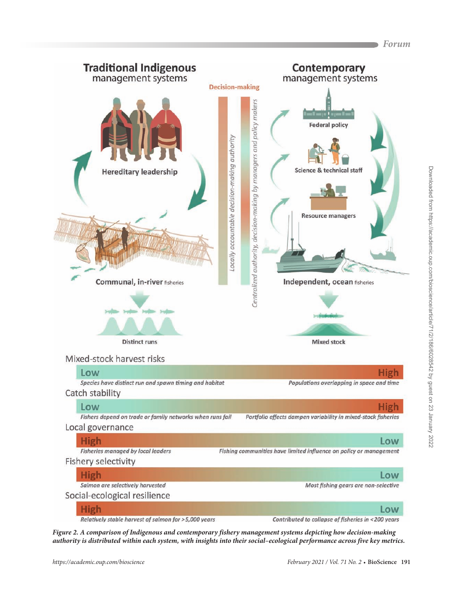

**Figure 2. A comparison of Indigenous and contemporary fishery management systems depicting how decision-making authority is distributed within each system, with insights into their social–ecological performance across five key metrics.**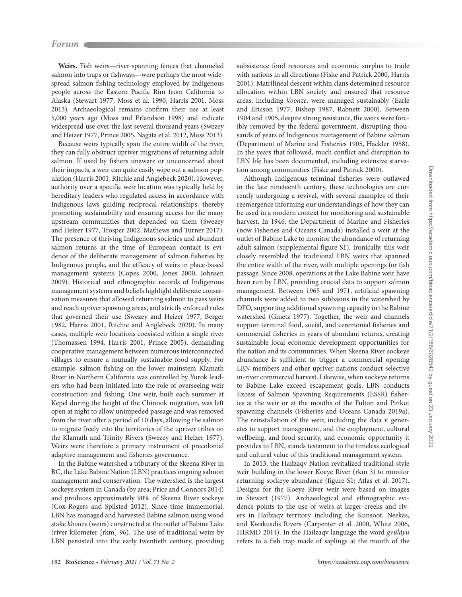**Weirs.** Fish weirs—river-spanning fences that channeled salmon into traps or fishways—were perhaps the most widespread salmon fishing technology employed by Indigenous people across the Eastern Pacific Rim from California to Alaska (Stewart 1977, Moss et al. 1990, Harris 2001, Moss 2013). Archaeological remains confirm their use at least 5,000 years ago (Moss and Erlandson 1998) and indicate widespread use over the last several thousand years (Swezey and Heizer 1977, Prince 2005, Nagata et al. 2012, Moss 2013).

Because weirs typically span the entire width of the river, they can fully obstruct upriver migrations of returning adult salmon. If used by fishers unaware or unconcerned about their impacts, a weir can quite easily wipe out a salmon population (Harris 2001, Ritchie and Anglebeck 2020). However, authority over a specific weir location was typically held by hereditary leaders who regulated access in accordance with Indigenous laws guiding reciprocal relationships, thereby promoting sustainability and ensuring access for the many upstream communities that depended on them (Swezey and Heizer 1977, Trosper 2002, Mathews and Turner 2017). The presence of thriving Indigenous societies and abundant salmon returns at the time of European contact is evidence of the deliberate management of salmon fisheries by Indigenous people, and the efficacy of weirs in place-based management systems (Copes 2000, Jones 2000, Johnsen 2009). Historical and ethnographic records of Indigenous management systems and beliefs highlight deliberate conservation measures that allowed returning salmon to pass weirs and reach upriver spawning areas, and strictly enforced rules that governed their use (Swezey and Heizer 1977, Berger 1982, Harris 2001, Ritchie and Anglebeck 2020). In many cases, multiple weir locations coexisted within a single river (Thomassen 1994, Harris 2001, Prince 2005), demanding cooperative management between numerous interconnected villages to ensure a mutually sustainable food supply. For example, salmon fishing on the lower mainstem Klamath River in Northern California was controlled by Yurok leaders who had been initiated into the role of overseeing weir construction and fishing. One weir, built each summer at Kepel during the height of the Chinook migration, was left open at night to allow unimpeded passage and was removed from the river after a period of 10 days, allowing the salmon to migrate freely into the territories of the upriver tribes on the Klamath and Trinity Rivers (Swezey and Heizer 1977). Weirs were therefore a primary instrument of precolonial adaptive management and fisheries governance.

In the Babine watershed a tributary of the Skeena River in BC, the Lake Babine Nation (LBN) practices ongoing salmon management and conservation. The watershed is the largest sockeye system in Canada (by area; Price and Connors 2014) and produces approximately 90% of Skeena River sockeye (Cox-Rogers and Spilsted 2012). Since time immemorial, LBN has managed and harvested Babine salmon using wood stake k'oonze (weirs) constructed at the outlet of Babine Lake (river kilometer [rkm] 96). The use of traditional weirs by LBN persisted into the early twentieth century, providing

subsistence food resources and economic surplus to trade with nations in all directions (Fiske and Patrick 2000, Harris 2001). Matrilineal descent within clans determined resource allocation within LBN society and ensured that resource areas, including k'oonze, were managed sustainably (Earle and Ericson 1977, Bishop 1987, Rabnett 2000). Between 1904 and 1905, despite strong resistance, the weirs were forcibly removed by the federal government, disrupting thousands of years of Indigenous management of Babine salmon (Department of Marine and Fisheries 1905, Hackler 1958). In the years that followed, much conflict and disruption to LBN life has been documented, including extensive starvation among communities (Fiske and Patrick 2000).

Although Indigenous terminal fisheries were outlawed in the late nineteenth century, these technologies are currently undergoing a revival, with several examples of their reemergence informing our understandings of how they can be used in a modern context for monitoring and sustainable harvest. In 1946, the Department of Marine and Fisheries (now Fisheries and Oceans Canada) installed a weir at the outlet of Babine Lake to monitor the abundance of returning adult salmon (supplemental figure S1). Ironically, this weir closely resembled the traditional LBN weirs that spanned the entire width of the river, with multiple openings for fish passage. Since 2008, operations at the Lake Babine weir have been run by LBN, providing crucial data to support salmon management. Between 1965 and 1971, artificial spawning channels were added to two subbasins in the watershed by DFO, supporting additional spawning capacity in the Babine watershed (Ginetz 1977). Together, the weir and channels support terminal food, social, and ceremonial fisheries and commercial fisheries in years of abundant returns, creating sustainable local economic development opportunities for the nation and its communities. When Skeena River sockeye abundance is sufficient to trigger a commercial opening LBN members and other upriver nations conduct selective in-river commercial harvest. Likewise, when sockeye returns to Babine Lake exceed escapement goals, LBN conducts Excess of Salmon Spawning Requirements (ESSR) fisheries at the weir or at the mouths of the Fulton and Pinkut spawning channels (Fisheries and Oceans Canada 2019a). The reinstallation of the weir, including the data it generates to support management, and the employment, cultural wellbeing, and food security, and economic opportunity it provides to LBN, stands testament to the timeless ecological and cultural value of this traditional management system.

In 2013, the Haíłzaqv Nation revitalized traditional-style weir building in the lower Koeye River (rkm 3) to monitor returning sockeye abundance (figure S1; Atlas et al. 2017). Designs for the Koeye River weir were based on images in Stewart (1977). Archaeological and ethnographic evidence points to the use of weirs at larger creeks and rivers in Haíłzaqv territory including the Kunsoot, Neekas, and Kwakusdis Rivers (Carpenter et al. 2000, White 2006, HIRMD 2014). In the Haíłzaqv language the word gvúláyu refers to a fish trap made of saplings at the mouth of the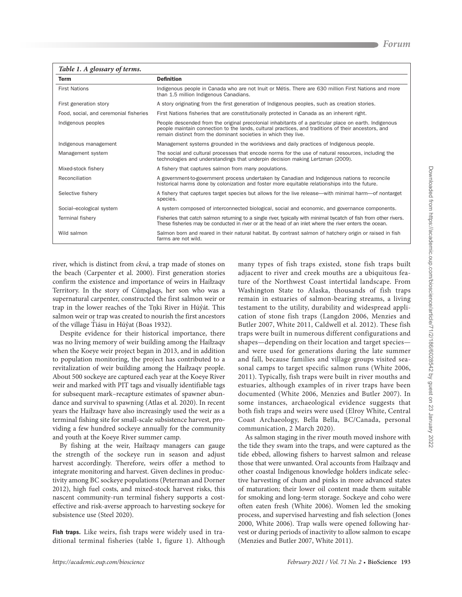#### **Table 1. A glossary of terms.**

| Term                                   | <b>Definition</b>                                                                                                                                                                                                                                                               |
|----------------------------------------|---------------------------------------------------------------------------------------------------------------------------------------------------------------------------------------------------------------------------------------------------------------------------------|
| <b>First Nations</b>                   | Indigenous people in Canada who are not Inuit or Métis. There are 630 million First Nations and more<br>than 1.5 million Indigenous Canadians.                                                                                                                                  |
| First generation story                 | A story originating from the first generation of Indigenous peoples, such as creation stories.                                                                                                                                                                                  |
| Food, social, and ceremonial fisheries | First Nations fisheries that are constitutionally protected in Canada as an inherent right.                                                                                                                                                                                     |
| Indigenous peoples                     | People descended from the original precolonial inhabitants of a particular place on earth. Indigenous<br>people maintain connection to the lands, cultural practices, and traditions of their ancestors, and<br>remain distinct from the dominant societies in which they live. |
| Indigenous management                  | Management systems grounded in the worldviews and daily practices of Indigenous people.                                                                                                                                                                                         |
| Management system                      | The social and cultural processes that encode norms for the use of natural resources, including the<br>technologies and understandings that underpin decision making Lertzman (2009).                                                                                           |
| Mixed-stock fishery                    | A fishery that captures salmon from many populations.                                                                                                                                                                                                                           |
| Reconciliation                         | A government-to-government process undertaken by Canadian and Indigenous nations to reconcile<br>historical harms done by colonization and foster more equitable relationships into the future.                                                                                 |
| Selective fishery                      | A fishery that captures target species but allows for the live release—with minimal harm—of nontarget<br>species.                                                                                                                                                               |
| Social-ecological system               | A system composed of interconnected biological, social and economic, and governance components.                                                                                                                                                                                 |
| <b>Terminal fishery</b>                | Fisheries that catch salmon returning to a single river, typically with minimal bycatch of fish from other rivers.<br>These fisheries may be conducted in river or at the head of an inlet where the river enters the ocean.                                                    |
| Wild salmon                            | Salmon born and reared in their natural habitat. By contrast salmon of hatchery origin or raised in fish<br>farms are not wild.                                                                                                                                                 |

river, which is distinct from ckvá, a trap made of stones on the beach (Carpenter et al. 2000). First generation stories confirm the existence and importance of weirs in Haíłzaqv Territory. In the story of Cúmqlaqs, her son who was a supernatural carpenter, constructed the first salmon weir or trap in the lower reaches of the Tnki River in Húỷát. This salmon weir or trap was created to nourish the first ancestors of the village Tiásu in Húỷat (Boas 1932).

Despite evidence for their historical importance, there was no living memory of weir building among the Haíłzaqv when the Koeye weir project began in 2013, and in addition to population monitoring, the project has contributed to a revitalization of weir building among the Haíłzaqv people. About 500 sockeye are captured each year at the Koeye River weir and marked with PIT tags and visually identifiable tags for subsequent mark–recapture estimates of spawner abundance and survival to spawning (Atlas et al. 2020). In recent years the Haíłzaqv have also increasingly used the weir as a terminal fishing site for small-scale subsistence harvest, providing a few hundred sockeye annually for the community and youth at the Koeye River summer camp.

By fishing at the weir, Haíłzaqv managers can gauge the strength of the sockeye run in season and adjust harvest accordingly. Therefore, weirs offer a method to integrate monitoring and harvest. Given declines in productivity among BC sockeye populations (Peterman and Dorner 2012), high fuel costs, and mixed-stock harvest risks, this nascent community-run terminal fishery supports a costeffective and risk-averse approach to harvesting sockeye for subsistence use (Steel 2020).

Fish traps. Like weirs, fish traps were widely used in traditional terminal fisheries (table 1, figure 1). Although many types of fish traps existed, stone fish traps built adjacent to river and creek mouths are a ubiquitous feature of the Northwest Coast intertidal landscape. From Washington State to Alaska, thousands of fish traps remain in estuaries of salmon-bearing streams, a living testament to the utility, durability and widespread application of stone fish traps (Langdon 2006, Menzies and Butler 2007, White 2011, Caldwell et al. 2012). These fish traps were built in numerous different configurations and shapes—depending on their location and target species and were used for generations during the late summer and fall, because families and village groups visited seasonal camps to target specific salmon runs (White 2006, 2011). Typically, fish traps were built in river mouths and estuaries, although examples of in river traps have been documented (White 2006, Menzies and Butler 2007). In some instances, archaeological evidence suggests that both fish traps and weirs were used (Elroy White, Central Coast Archaeology, Bella Bella, BC/Canada, personal communication, 2 March 2020).

As salmon staging in the river mouth moved inshore with the tide they swam into the traps, and were captured as the tide ebbed, allowing fishers to harvest salmon and release those that were unwanted. Oral accounts from Haíłzaqv and other coastal Indigenous knowledge holders indicate selective harvesting of chum and pinks in more advanced states of maturation; their lower oil content made them suitable for smoking and long-term storage. Sockeye and coho were often eaten fresh (White 2006). Women led the smoking process, and supervised harvesting and fish selection (Jones 2000, White 2006). Trap walls were opened following harvest or during periods of inactivity to allow salmon to escape (Menzies and Butler 2007, White 2011).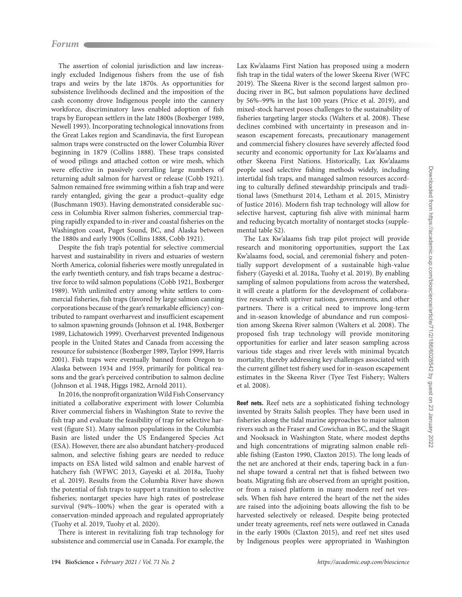The assertion of colonial jurisdiction and law increasingly excluded Indigenous fishers from the use of fish traps and weirs by the late 1870s. As opportunities for subsistence livelihoods declined and the imposition of the cash economy drove Indigenous people into the cannery workforce, discriminatory laws enabled adoption of fish traps by European settlers in the late 1800s (Boxberger 1989, Newell 1993). Incorporating technological innovations from the Great Lakes region and Scandinavia, the first European salmon traps were constructed on the lower Columbia River beginning in 1879 (Collins 1888). These traps consisted of wood pilings and attached cotton or wire mesh, which were effective in passively corralling large numbers of returning adult salmon for harvest or release (Cobb 1921). Salmon remained free swimming within a fish trap and were rarely entangled, giving the gear a product–quality edge (Buschmann 1903). Having demonstrated considerable success in Columbia River salmon fisheries, commercial trapping rapidly expanded to in-river and coastal fisheries on the Washington coast, Puget Sound, BC, and Alaska between the 1880s and early 1900s (Collins 1888, Cobb 1921).

Despite the fish trap's potential for selective commercial harvest and sustainability in rivers and estuaries of western North America, colonial fisheries were mostly unregulated in the early twentieth century, and fish traps became a destructive force to wild salmon populations (Cobb 1921, Boxberger 1989). With unlimited entry among white settlers to commercial fisheries, fish traps (favored by large salmon canning corporations because of the gear's remarkable efficiency) contributed to rampant overharvest and insufficient escapement to salmon spawning grounds (Johnson et al. 1948, Boxberger 1989, Lichatowich 1999). Overharvest prevented Indigenous people in the United States and Canada from accessing the resource for subsistence (Boxberger 1989, Taylor 1999, Harris 2001). Fish traps were eventually banned from Oregon to Alaska between 1934 and 1959, primarily for political reasons and the gear's perceived contribution to salmon decline (Johnson et al. 1948, Higgs 1982, Arnold 2011).

In 2016, the nonprofit organization Wild Fish Conservancy initiated a collaborative experiment with lower Columbia River commercial fishers in Washington State to revive the fish trap and evaluate the feasibility of trap for selective harvest (figure S1). Many salmon populations in the Columbia Basin are listed under the US Endangered Species Act (ESA). However, there are also abundant hatchery-produced salmon, and selective fishing gears are needed to reduce impacts on ESA listed wild salmon and enable harvest of hatchery fish (WFWC 2013, Gayeski et al. 2018a, Tuohy et al. 2019). Results from the Columbia River have shown the potential of fish traps to support a transition to selective fisheries; nontarget species have high rates of postrelease survival (94%–100%) when the gear is operated with a conservation-minded approach and regulated appropriately (Tuohy et al. 2019, Tuohy et al. 2020).

There is interest in revitalizing fish trap technology for subsistence and commercial use in Canada. For example, the Lax Kw'alaams First Nation has proposed using a modern fish trap in the tidal waters of the lower Skeena River (WFC 2019). The Skeena River is the second largest salmon producing river in BC, but salmon populations have declined by 56%–99% in the last 100 years (Price et al. 2019), and mixed-stock harvest poses challenges to the sustainability of fisheries targeting larger stocks (Walters et al. 2008). These declines combined with uncertainty in preseason and inseason escapement forecasts, precautionary management and commercial fishery closures have severely affected food security and economic opportunity for Lax Kw'alaams and other Skeena First Nations. Historically, Lax Kw'alaams people used selective fishing methods widely, including intertidal fish traps, and managed salmon resources according to culturally defined stewardship principals and traditional laws (Smethurst 2014, Letham et al. 2015, Ministry of Justice 2016). Modern fish trap technology will allow for selective harvest, capturing fish alive with minimal harm and reducing bycatch mortality of nontarget stocks (supplemental table S2).

The Lax Kw'alaams fish trap pilot project will provide research and monitoring opportunities, support the Lax Kw'alaams food, social, and ceremonial fishery and potentially support development of a sustainable high-value fishery (Gayeski et al. 2018a, Tuohy et al. 2019). By enabling sampling of salmon populations from across the watershed, it will create a platform for the development of collaborative research with upriver nations, governments, and other partners. There is a critical need to improve long-term and in-season knowledge of abundance and run composition among Skeena River salmon (Walters et al. 2008). The proposed fish trap technology will provide monitoring opportunities for earlier and later season sampling across various tide stages and river levels with minimal bycatch mortality, thereby addressing key challenges associated with the current gillnet test fishery used for in-season escapement estimates in the Skeena River (Tyee Test Fishery; Walters et al. 2008).

Reef nets. Reef nets are a sophisticated fishing technology invented by Straits Salish peoples. They have been used in fisheries along the tidal marine approaches to major salmon rivers such as the Fraser and Cowichan in BC, and the Skagit and Nooksack in Washington State, where modest depths and high concentrations of migrating salmon enable reliable fishing (Easton 1990, Claxton 2015). The long leads of the net are anchored at their ends, tapering back in a funnel shape toward a central net that is fished between two boats. Migrating fish are observed from an upright position, or from a raised platform in many modern reef net vessels. When fish have entered the heart of the net the sides are raised into the adjoining boats allowing the fish to be harvested selectively or released. Despite being protected under treaty agreements, reef nets were outlawed in Canada in the early 1900s (Claxton 2015), and reef net sites used by Indigenous peoples were appropriated in Washington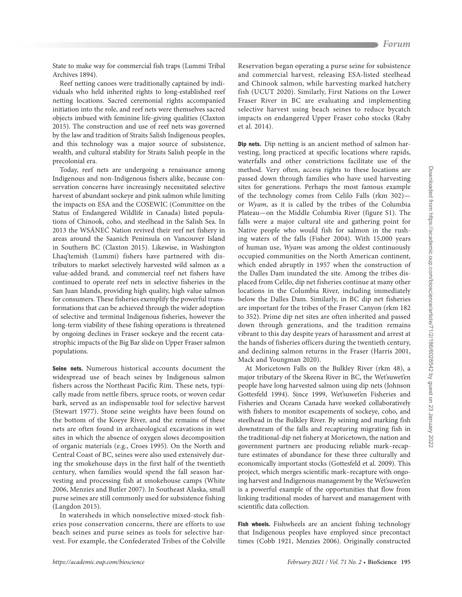State to make way for commercial fish traps (Lummi Tribal Archives 1894).

Reef netting canoes were traditionally captained by individuals who held inherited rights to long-established reef netting locations. Sacred ceremonial rights accompanied initiation into the role, and reef nets were themselves sacred objects imbued with feminine life-giving qualities (Claxton 2015). The construction and use of reef nets was governed by the law and tradition of Straits Salish Indigenous peoples, and this technology was a major source of subsistence, wealth, and cultural stability for Straits Salish people in the precolonial era.

Today, reef nets are undergoing a renaissance among Indigenous and non-Indigenous fishers alike, because conservation concerns have increasingly necessitated selective harvest of abundant sockeye and pink salmon while limiting the impacts on ESA and the COSEWIC (Committee on the Status of Endangered Wildlife in Canada) listed populations of Chinook, coho, and steelhead in the Salish Sea. In 2013 the WSÁNEĆ Nation revived their reef net fishery in areas around the Saanich Peninsula on Vancouver Island in Southern BC (Claxton 2015). Likewise, in Washington Lhaq'temish (Lummi) fishers have partnered with distributors to market selectively harvested wild salmon as a value-added brand, and commercial reef net fishers have continued to operate reef nets in selective fisheries in the San Juan Islands, providing high quality, high value salmon for consumers. These fisheries exemplify the powerful transformations that can be achieved through the wider adoption of selective and terminal Indigenous fisheries, however the long-term viability of these fishing operations is threatened by ongoing declines in Fraser sockeye and the recent catastrophic impacts of the Big Bar slide on Upper Fraser salmon populations.

Seine nets. Numerous historical accounts document the widespread use of beach seines by Indigenous salmon fishers across the Northeast Pacific Rim. These nets, typically made from nettle fibers, spruce roots, or woven cedar bark, served as an indispensable tool for selective harvest (Stewart 1977). Stone seine weights have been found on the bottom of the Koeye River, and the remains of these nets are often found in archaeological excavations in wet sites in which the absence of oxygen slows decomposition of organic materials (e.g., Croes 1995). On the North and Central Coast of BC, seines were also used extensively during the smokehouse days in the first half of the twentieth century, when families would spend the fall season harvesting and processing fish at smokehouse camps (White 2006, Menzies and Butler 2007). In Southeast Alaska, small purse seines are still commonly used for subsistence fishing (Langdon 2015).

In watersheds in which nonselective mixed-stock fisheries pose conservation concerns, there are efforts to use beach seines and purse seines as tools for selective harvest. For example, the Confederated Tribes of the Colville Reservation began operating a purse seine for subsistence and commercial harvest, releasing ESA-listed steelhead and Chinook salmon, while harvesting marked hatchery fish (UCUT 2020). Similarly, First Nations on the Lower Fraser River in BC are evaluating and implementing selective harvest using beach seines to reduce bycatch impacts on endangered Upper Fraser coho stocks (Raby et al. 2014).

Dip nets. Dip netting is an ancient method of salmon harvesting, long practiced at specific locations where rapids, waterfalls and other constrictions facilitate use of the method. Very often, access rights to these locations are passed down through families who have used harvesting sites for generations. Perhaps the most famous example of the technology comes from Celilo Falls (rkm 302) or Wyam, as it is called by the tribes of the Columbia Plateau—on the Middle Columbia River (figure S1). The falls were a major cultural site and gathering point for Native people who would fish for salmon in the rushing waters of the falls (Fisher 2004). With 15,000 years of human use, Wyam was among the oldest continuously occupied communities on the North American continent, which ended abruptly in 1957 when the construction of the Dalles Dam inundated the site. Among the tribes displaced from Celilo, dip net fisheries continue at many other locations in the Columbia River, including immediately below the Dalles Dam. Similarly, in BC dip net fisheries are important for the tribes of the Fraser Canyon (rkm 182 to 352). Prime dip net sites are often inherited and passed down through generations, and the tradition remains vibrant to this day despite years of harassment and arrest at the hands of fisheries officers during the twentieth century, and declining salmon returns in the Fraser (Harris 2001, Mack and Youngman 2020).

At Moricetown Falls on the Bulkley River (rkm 48), a major tributary of the Skeena River in BC, the Wet'suwet'en people have long harvested salmon using dip nets (Johnson Gottesfeld 1994). Since 1999, Wet'suwet'en Fisheries and Fisheries and Oceans Canada have worked collaboratively with fishers to monitor escapements of sockeye, coho, and steelhead in the Bulkley River. By seining and marking fish downstream of the falls and recapturing migrating fish in the traditional-dip net fishery at Moricetown, the nation and government partners are producing reliable mark–recapture estimates of abundance for these three culturally and economically important stocks (Gottesfeld et al. 2009). This project, which merges scientific mark–recapture with ongoing harvest and Indigenous management by the Wet'suwet'en is a powerful example of the opportunities that flow from linking traditional modes of harvest and management with scientific data collection.

Fish wheels. Fishwheels are an ancient fishing technology that Indigenous peoples have employed since precontact times (Cobb 1921, Menzies 2006). Originally constructed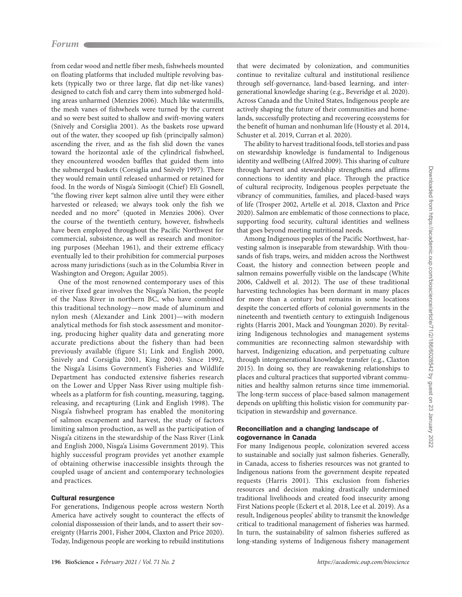from cedar wood and nettle fiber mesh, fishwheels mounted on floating platforms that included multiple revolving baskets (typically two or three large, flat dip net-like vanes) designed to catch fish and carry them into submerged holding areas unharmed (Menzies 2006). Much like watermills, the mesh vanes of fishwheels were turned by the current and so were best suited to shallow and swift-moving waters (Snively and Corsiglia 2001). As the baskets rose upward out of the water, they scooped up fish (principally salmon) ascending the river, and as the fish slid down the vanes toward the horizontal axle of the cylindrical fishwheel, they encountered wooden baffles that guided them into the submerged baskets (Corsiglia and Snively 1997). There they would remain until released unharmed or retained for food. In the words of Nisga'a Sim'oogit (Chief) Eli Gosnell, "the flowing river kept salmon alive until they were either harvested or released; we always took only the fish we needed and no more" (quoted in Menzies 2006). Over the course of the twentieth century, however, fishwheels have been employed throughout the Pacific Northwest for commercial, subsistence, as well as research and monitoring purposes (Meehan 1961), and their extreme efficacy eventually led to their prohibition for commercial purposes across many jurisdictions (such as in the Columbia River in Washington and Oregon; Aguilar 2005).

One of the most renowned contemporary uses of this in-river fixed gear involves the Nisga'a Nation, the people of the Nass River in northern BC, who have combined this traditional technology—now made of aluminum and nylon mesh (Alexander and Link 2001)—with modern analytical methods for fish stock assessment and monitoring, producing higher quality data and generating more accurate predictions about the fishery than had been previously available (figure S1; Link and English 2000, Snively and Corsiglia 2001, King 2004). Since 1992, the Nisga'a Lisims Government's Fisheries and Wildlife Department has conducted extensive fisheries research on the Lower and Upper Nass River using multiple fishwheels as a platform for fish counting, measuring, tagging, releasing, and recapturing (Link and English 1998). The Nisga'a fishwheel program has enabled the monitoring of salmon escapement and harvest, the study of factors limiting salmon production, as well as the participation of Nisga'a citizens in the stewardship of the Nass River (Link and English 2000, Nisga'a Lisims Government 2019). This highly successful program provides yet another example of obtaining otherwise inaccessible insights through the coupled usage of ancient and contemporary technologies and practices.

# Cultural resurgence

For generations, Indigenous people across western North America have actively sought to counteract the effects of colonial dispossession of their lands, and to assert their sovereignty (Harris 2001, Fisher 2004, Claxton and Price 2020). Today, Indigenous people are working to rebuild institutions

that were decimated by colonization, and communities continue to revitalize cultural and institutional resilience through self-governance, land-based learning, and intergenerational knowledge sharing (e.g., Beveridge et al. 2020). Across Canada and the United States, Indigenous people are actively shaping the future of their communities and homelands, successfully protecting and recovering ecosystems for the benefit of human and nonhuman life (Housty et al. 2014, Schuster et al. 2019, Curran et al. 2020).

The ability to harvest traditional foods, tell stories and pass on stewardship knowledge is fundamental to Indigenous identity and wellbeing (Alfred 2009). This sharing of culture through harvest and stewardship strengthens and affirms connections to identity and place. Through the practice of cultural reciprocity, Indigenous peoples perpetuate the vibrancy of communities, families, and placed-based ways of life (Trosper 2002, Artelle et al. 2018, Claxton and Price 2020). Salmon are emblematic of those connections to place, supporting food security, cultural identities and wellness that goes beyond meeting nutritional needs.

Among Indigenous peoples of the Pacific Northwest, harvesting salmon is inseparable from stewardship. With thousands of fish traps, weirs, and midden across the Northwest Coast, the history and connection between people and salmon remains powerfully visible on the landscape (White 2006, Caldwell et al. 2012). The use of these traditional harvesting technologies has been dormant in many places for more than a century but remains in some locations despite the concerted efforts of colonial governments in the nineteenth and twentieth century to extinguish Indigenous rights (Harris 2001, Mack and Youngman 2020). By revitalizing Indigenous technologies and management systems communities are reconnecting salmon stewardship with harvest, Indigenizing education, and perpetuating culture through intergenerational knowledge transfer (e.g., Claxton 2015). In doing so, they are reawakening relationships to places and cultural practices that supported vibrant communities and healthy salmon returns since time immemorial. The long-term success of place-based salmon management depends on uplifting this holistic vision for community participation in stewardship and governance.

## Reconciliation and a changing landscape of cogovernance in Canada

For many Indigenous people, colonization severed access to sustainable and socially just salmon fisheries. Generally, in Canada, access to fisheries resources was not granted to Indigenous nations from the government despite repeated requests (Harris 2001). This exclusion from fisheries resources and decision making drastically undermined traditional livelihoods and created food insecurity among First Nations people (Eckert et al. 2018, Lee et al. 2019). As a result, Indigenous peoples' ability to transmit the knowledge critical to traditional management of fisheries was harmed. In turn, the sustainability of salmon fisheries suffered as long-standing systems of Indigenous fishery management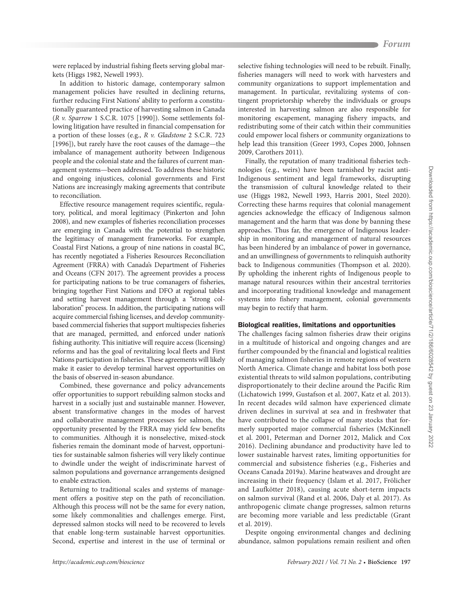were replaced by industrial fishing fleets serving global markets (Higgs 1982, Newell 1993).

In addition to historic damage, contemporary salmon management policies have resulted in declining returns, further reducing First Nations' ability to perform a constitutionally guaranteed practice of harvesting salmon in Canada (R v. Sparrow 1 S.C.R. 1075 [1990]). Some settlements following litigation have resulted in financial compensation for a portion of these losses (e.g., R v. Gladstone 2 S.C.R. 723 [1996]), but rarely have the root causes of the damage—the imbalance of management authority between Indigenous people and the colonial state and the failures of current management systems—been addressed. To address these historic and ongoing injustices, colonial governments and First Nations are increasingly making agreements that contribute to reconciliation.

Effective resource management requires scientific, regulatory, political, and moral legitimacy (Pinkerton and John 2008), and new examples of fisheries reconciliation processes are emerging in Canada with the potential to strengthen the legitimacy of management frameworks. For example, Coastal First Nations, a group of nine nations in coastal BC, has recently negotiated a Fisheries Resources Reconciliation Agreement (FRRA) with Canada's Department of Fisheries and Oceans (CFN 2017). The agreement provides a process for participating nations to be true comanagers of fisheries, bringing together First Nations and DFO at regional tables and setting harvest management through a "strong collaboration" process. In addition, the participating nations will acquire commercial fishing licenses, and develop communitybased commercial fisheries that support multispecies fisheries that are managed, permitted, and enforced under nation's fishing authority. This initiative will require access (licensing) reforms and has the goal of revitalizing local fleets and First Nations participation in fisheries. These agreements will likely make it easier to develop terminal harvest opportunities on the basis of observed in-season abundance.

Combined, these governance and policy advancements offer opportunities to support rebuilding salmon stocks and harvest in a socially just and sustainable manner. However, absent transformative changes in the modes of harvest and collaborative management processes for salmon, the opportunity presented by the FRRA may yield few benefits to communities. Although it is nonselective, mixed-stock fisheries remain the dominant mode of harvest, opportunities for sustainable salmon fisheries will very likely continue to dwindle under the weight of indiscriminate harvest of salmon populations and governance arrangements designed to enable extraction.

Returning to traditional scales and systems of management offers a positive step on the path of reconciliation. Although this process will not be the same for every nation, some likely commonalities and challenges emerge. First, depressed salmon stocks will need to be recovered to levels that enable long-term sustainable harvest opportunities. Second, expertise and interest in the use of terminal or

selective fishing technologies will need to be rebuilt. Finally, fisheries managers will need to work with harvesters and community organizations to support implementation and management. In particular, revitalizing systems of contingent proprietorship whereby the individuals or groups interested in harvesting salmon are also responsible for monitoring escapement, managing fishery impacts, and redistributing some of their catch within their communities could empower local fishers or community organizations to help lead this transition (Greer 1993, Copes 2000, Johnsen 2009, Carothers 2011).

Finally, the reputation of many traditional fisheries technologies (e.g., weirs) have been tarnished by racist anti-Indigenous sentiment and legal frameworks, disrupting the transmission of cultural knowledge related to their use (Higgs 1982, Newell 1993, Harris 2001, Steel 2020). Correcting these harms requires that colonial management agencies acknowledge the efficacy of Indigenous salmon management and the harm that was done by banning these approaches. Thus far, the emergence of Indigenous leadership in monitoring and management of natural resources has been hindered by an imbalance of power in governance, and an unwillingness of governments to relinquish authority back to Indigenous communities (Thompson et al. 2020). By upholding the inherent rights of Indigenous people to manage natural resources within their ancestral territories and incorporating traditional knowledge and management systems into fishery management, colonial governments may begin to rectify that harm.

## Biological realities, limitations and opportunities

The challenges facing salmon fisheries draw their origins in a multitude of historical and ongoing changes and are further compounded by the financial and logistical realities of managing salmon fisheries in remote regions of western North America. Climate change and habitat loss both pose existential threats to wild salmon populations, contributing disproportionately to their decline around the Pacific Rim (Lichatowich 1999, Gustafson et al. 2007, Katz et al. 2013). In recent decades wild salmon have experienced climate driven declines in survival at sea and in freshwater that have contributed to the collapse of many stocks that formerly supported major commercial fisheries (McKinnell et al. 2001, Peterman and Dorner 2012, Malick and Cox 2016). Declining abundance and productivity have led to lower sustainable harvest rates, limiting opportunities for commercial and subsistence fisheries (e.g., Fisheries and Oceans Canada 2019a). Marine heatwaves and drought are increasing in their frequency (Islam et al. 2017, Frölicher and Laufkötter 2018), causing acute short-term impacts on salmon survival (Rand et al. 2006, Daly et al. 2017). As anthropogenic climate change progresses, salmon returns are becoming more variable and less predictable (Grant et al. 2019).

Despite ongoing environmental changes and declining abundance, salmon populations remain resilient and often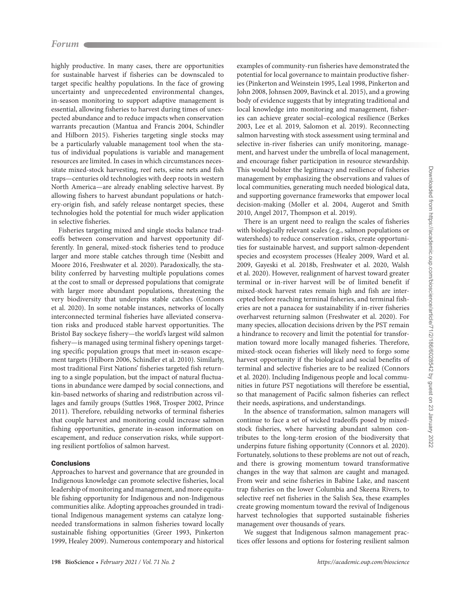highly productive. In many cases, there are opportunities for sustainable harvest if fisheries can be downscaled to target specific healthy populations. In the face of growing uncertainty and unprecedented environmental changes, in-season monitoring to support adaptive management is essential, allowing fisheries to harvest during times of unexpected abundance and to reduce impacts when conservation warrants precaution (Mantua and Francis 2004, Schindler and Hilborn 2015). Fisheries targeting single stocks may be a particularly valuable management tool when the status of individual populations is variable and management resources are limited. In cases in which circumstances necessitate mixed-stock harvesting, reef nets, seine nets and fish traps—centuries old technologies with deep roots in western North America—are already enabling selective harvest. By allowing fishers to harvest abundant populations or hatchery-origin fish, and safely release nontarget species, these technologies hold the potential for much wider application in selective fisheries.

Fisheries targeting mixed and single stocks balance tradeoffs between conservation and harvest opportunity differently. In general, mixed-stock fisheries tend to produce larger and more stable catches through time (Nesbitt and Moore 2016, Freshwater et al. 2020). Paradoxically, the stability conferred by harvesting multiple populations comes at the cost to small or depressed populations that comigrate with larger more abundant populations, threatening the very biodiversity that underpins stable catches (Connors et al. 2020). In some notable instances, networks of locally interconnected terminal fisheries have alleviated conservation risks and produced stable harvest opportunities. The Bristol Bay sockeye fishery—the world's largest wild salmon fishery—is managed using terminal fishery openings targeting specific population groups that meet in-season escapement targets (Hilborn 2006, Schindler et al. 2010). Similarly, most traditional First Nations' fisheries targeted fish returning to a single population, but the impact of natural fluctuations in abundance were damped by social connections, and kin-based networks of sharing and redistribution across villages and family groups (Suttles 1968, Trosper 2002, Prince 2011). Therefore, rebuilding networks of terminal fisheries that couple harvest and monitoring could increase salmon fishing opportunities, generate in-season information on escapement, and reduce conservation risks, while supporting resilient portfolios of salmon harvest.

# **Conclusions**

Approaches to harvest and governance that are grounded in Indigenous knowledge can promote selective fisheries, local leadership of monitoring and management, and more equitable fishing opportunity for Indigenous and non-Indigenous communities alike. Adopting approaches grounded in traditional Indigenous management systems can catalyze longneeded transformations in salmon fisheries toward locally sustainable fishing opportunities (Greer 1993, Pinkerton 1999, Healey 2009). Numerous contemporary and historical examples of community-run fisheries have demonstrated the potential for local governance to maintain productive fisheries (Pinkerton and Weinstein 1995, Leal 1998, Pinkerton and John 2008, Johnsen 2009, Bavinck et al. 2015), and a growing body of evidence suggests that by integrating traditional and local knowledge into monitoring and management, fisheries can achieve greater social–ecological resilience (Berkes 2003, Lee et al. 2019, Salomon et al. 2019). Reconnecting salmon harvesting with stock assessment using terminal and selective in-river fisheries can unify monitoring, management, and harvest under the umbrella of local management, and encourage fisher participation in resource stewardship. This would bolster the legitimacy and resilience of fisheries management by emphasizing the observations and values of local communities, generating much needed biological data, and supporting governance frameworks that empower local decision-making (Moller et al. 2004, Augerot and Smith 2010, Angel 2017, Thompson et al. 2019).

There is an urgent need to realign the scales of fisheries with biologically relevant scales (e.g., salmon populations or watersheds) to reduce conservation risks, create opportunities for sustainable harvest, and support salmon-dependent species and ecosystem processes (Healey 2009, Ward et al. 2009, Gayeski et al. 2018b, Freshwater et al. 2020, Walsh et al. 2020). However, realignment of harvest toward greater terminal or in-river harvest will be of limited benefit if mixed-stock harvest rates remain high and fish are intercepted before reaching terminal fisheries, and terminal fisheries are not a panacea for sustainability if in-river fisheries overharvest returning salmon (Freshwater et al. 2020). For many species, allocation decisions driven by the PST remain a hindrance to recovery and limit the potential for transformation toward more locally managed fisheries. Therefore, mixed-stock ocean fisheries will likely need to forgo some harvest opportunity if the biological and social benefits of terminal and selective fisheries are to be realized (Connors et al. 2020). Including Indigenous people and local communities in future PST negotiations will therefore be essential, so that management of Pacific salmon fisheries can reflect their needs, aspirations, and understandings.

In the absence of transformation, salmon managers will continue to face a set of wicked tradeoffs posed by mixedstock fisheries, where harvesting abundant salmon contributes to the long-term erosion of the biodiversity that underpins future fishing opportunity (Connors et al. 2020). Fortunately, solutions to these problems are not out of reach, and there is growing momentum toward transformative changes in the way that salmon are caught and managed. From weir and seine fisheries in Babine Lake, and nascent trap fisheries on the lower Columbia and Skeena Rivers, to selective reef net fisheries in the Salish Sea, these examples create growing momentum toward the revival of Indigenous harvest technologies that supported sustainable fisheries management over thousands of years.

We suggest that Indigenous salmon management practices offer lessons and options for fostering resilient salmon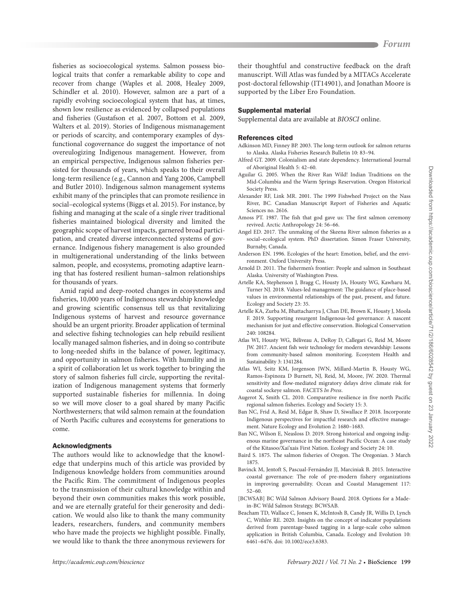**Forum**

fisheries as socioecological systems. Salmon possess biological traits that confer a remarkable ability to cope and recover from change (Waples et al. 2008, Healey 2009, Schindler et al. 2010). However, salmon are a part of a rapidly evolving socioecological system that has, at times, shown low resilience as evidenced by collapsed populations and fisheries (Gustafson et al. 2007, Bottom et al. 2009, Walters et al. 2019). Stories of Indigenous mismanagement or periods of scarcity, and contemporary examples of dysfunctional cogovernance do suggest the importance of not overeulogizing Indigenous management. However, from an empirical perspective, Indigenous salmon fisheries persisted for thousands of years, which speaks to their overall long-term resilience (e.g., Cannon and Yang 2006, Campbell and Butler 2010). Indigenous salmon management systems exhibit many of the principles that can promote resilience in social–ecological systems (Biggs et al. 2015). For instance, by fishing and managing at the scale of a single river traditional fisheries maintained biological diversity and limited the geographic scope of harvest impacts, garnered broad participation, and created diverse interconnected systems of governance. Indigenous fishery management is also grounded in multigenerational understanding of the links between salmon, people, and ecosystems, promoting adaptive learning that has fostered resilient human–salmon relationships for thousands of years.

Amid rapid and deep-rooted changes in ecosystems and fisheries, 10,000 years of Indigenous stewardship knowledge and growing scientific consensus tell us that revitalizing Indigenous systems of harvest and resource governance should be an urgent priority. Broader application of terminal and selective fishing technologies can help rebuild resilient locally managed salmon fisheries, and in doing so contribute to long-needed shifts in the balance of power, legitimacy, and opportunity in salmon fisheries. With humility and in a spirit of collaboration let us work together to bringing the story of salmon fisheries full circle, supporting the revitalization of Indigenous management systems that formerly supported sustainable fisheries for millennia. In doing so we will move closer to a goal shared by many Pacific Northwesterners; that wild salmon remain at the foundation of North Pacific cultures and ecosystems for generations to come.

## Acknowledgments

The authors would like to acknowledge that the knowledge that underpins much of this article was provided by Indigenous knowledge holders from communities around the Pacific Rim. The commitment of Indigenous peoples to the transmission of their cultural knowledge within and beyond their own communities makes this work possible, and we are eternally grateful for their generosity and dedication. We would also like to thank the many community leaders, researchers, funders, and community members who have made the projects we highlight possible. Finally, we would like to thank the three anonymous reviewers for

their thoughtful and constructive feedback on the draft manuscript. Will Atlas was funded by a MITACs Accelerate post-doctoral fellowship (IT14901), and Jonathan Moore is supported by the Liber Ero Foundation.

#### Supplemental material

Supplemental data are available at [BIOSCI](http://https://academic.oup.com/bioscience/article-lookup/doi/10.1093/biosci/biaa144#supplementary-data) online.

#### References cited

- Adkinson MD, Finney BP. 2003. The long-term outlook for salmon returns to Alaska. Alaska Fisheries Research Bulletin 10: 83–94.
- Alfred GT. 2009. Colonialism and state dependency. International Journal of Aboriginal Health 5: 42–60.
- Aguilar G. 2005. When the River Ran Wild! Indian Traditions on the Mid-Columbia and the Warm Springs Reservation. Oregon Historical Society Press.
- Alexander RF, Link MR. 2001. The 1999 Fishwheel Project on the Nass River, BC. Canadian Manuscript Report of Fisheries and Aquatic Sciences no. 2616.
- Amoss PT. 1987. The fish that god gave us: The first salmon ceremony revived. Arctic Anthropology 24: 56–66.
- Angel ED. 2017. The unmaking of the Skeena River salmon fisheries as a social–ecological system. PhD dissertation. Simon Fraser University, Burnaby, Canada.
- Anderson EN. 1996. Ecologies of the heart: Emotion, belief, and the environment. Oxford University Press.
- Arnold D. 2011. The fishermen's frontier: People and salmon in Southeast Alaska. University of Washington Press.
- Artelle KA, Stephenson J, Bragg C, Housty JA, Housty WG, Kawharu M, Turner NJ. 2018. Values-led management: The guidance of place-based values in environmental relationships of the past, present, and future. Ecology and Society 23: 35.
- Artelle KA, Zurba M, Bhattacharrya J, Chan DE, Brown K, Housty J, Moola F. 2019. Supporting resurgent Indigenous-led governance: A nascent mechanism for just and effective conservation. Biological Conservation 240: 108284.
- Atlas WI, Housty WG, Béliveau A, DeRoy D, Callegari G, Reid M, Moore JW. 2017. Ancient fish weir technology for modern stewardship: Lessons from community-based salmon monitoring. Ecosystem Health and Sustainability 3: 1341284.
- Atlas WI, Seitz KM, Jorgenson JWN, Millard-Martin B, Housty WG, Ramos-Espinoza D Burnett, NJ, Reid, M, Moore, JW. 2020. Thermal sensitivity and flow-mediated migratory delays drive climate risk for coastal sockeye salmon. FACETS In Press.
- Augerot X, Smith CL. 2010. Comparative resilience in five north Pacific regional salmon fisheries. Ecology and Society 15: 3.
- Ban NC, Frid A, Reid M, Edgar B, Shaw D, Siwallace P. 2018. Incorporate Indigenous perspectives for impactful research and effective management. Nature Ecology and Evolution 2: 1680–1683.
- Ban NC, Wilson E, Neasloss D. 2019. Strong historical and ongoing indigenous marine governance in the northeast Pacific Ocean: A case study of the Kitasoo/Xai'xais First Nation. Ecology and Society 24: 10.
- Baird S. 1875. The salmon fisheries of Oregon. The Oregonian. 3 March 1875.
- Bavinck M, Jentoft S, Pascual-Fernández JJ, Marciniak B. 2015. Interactive coastal governance: The role of pre-modern fishery organizations in improving governability. Ocean and Coastal Management 117: 52–60.
- [BCWSAB] BC Wild Salmon Advisory Board. 2018. Options for a Madein-BC Wild Salmon Strategy. BCWSAB.
- Beacham TD, Wallace C, Jonsen K, McIntosh B, Candy JR, Willis D, Lynch C, Withler RE. 2020. Insights on the concept of indicator populations derived from parentage-based tagging in a large-scale coho salmon application in British Columbia, Canada. Ecology and Evolution 10: 6461–6476. doi: 10.1002/ece3.6383.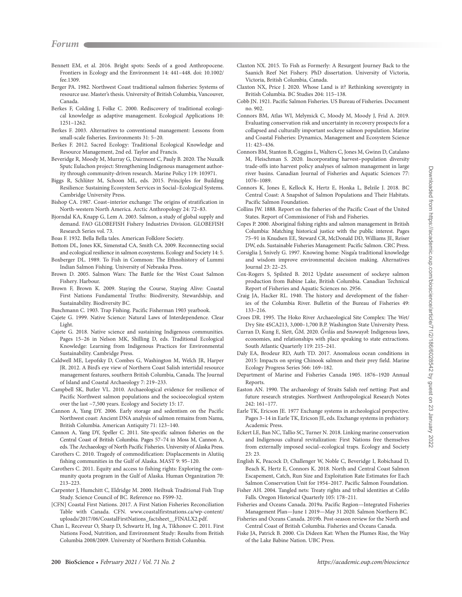- Bennett EM, et al. 2016. Bright spots: Seeds of a good Anthropocene. Frontiers in Ecology and the Environment 14: 441–448. doi: 10.1002/ fee.1309.
- Berger PA. 1982. Northwest Coast traditional salmon fisheries: Systems of resource use. Master's thesis. University of British Columbia, Vancouver, Canada.
- Berkes F, Colding J, Folke C. 2000. Rediscovery of traditional ecological knowledge as adaptive management. Ecological Applications 10: 1251–1262.
- Berkes F. 2003. Alternatives to conventional management: Lessons from small-scale fisheries. Environments 31: 5–20.
- Berkes F. 2012. Sacred Ecology: Traditional Ecological Knowledge and Resource Management, 2nd ed. Taylor and Francis.
- Beveridge R, Moody M, Murray G, Dairmont C, Pauly B. 2020. The Nuxalk Sputc Eulachon project: Strengthening Indigenous management authority through community-driven research. Marine Policy 119: 103971.
- Biggs R, Schlüter M, Schoon ML, eds. 2015. Principles for Building Resilience: Sustaining Ecosystem Services in Social–Ecological Systems. Cambridge University Press.
- Bishop CA. 1987. Coast–interior exchange: The origins of stratification in North-western North America. Arctic Anthropology 24: 72–83.
- Bjorndal KA, Knapp G, Lem A. 2003. Salmon, a study of global supply and demand. FAO GLOBEFISH Fishery Industries Division. GLOBEFISH Research Series vol. 73.
- Boas F. 1932. Bella Bella tales. American Folklore Society.
- Bottom DL, Jones KK, Simenstad CA, Smith CA. 2009. Reconnecting social and ecological resilience in salmon ecosystems. Ecology and Society 14: 5.
- Boxberger DL. 1989. To Fish in Common: The Ethnohistory of Lummi Indian Salmon Fishing. University of Nebraska Press.
- Brown D. 2005. Salmon Wars: The Battle for the West Coast Salmon Fishery. Harbour.
- Brown F, Brown K. 2009. Staying the Course, Staying Alive: Coastal First Nations Fundamental Truths: Biodiversity, Stewardship, and Sustainability. Biodiversity BC.
- Buschmann C. 1903. Trap Fishing. Pacific Fisherman 1903 yearbook.
- Cajete G. 1999. Native Science: Natural Laws of Interdependence. Clear Light.
- Cajete G. 2018. Native science and sustaining Indigenous communities. Pages 15–26 in Nelson MK, Shilling D, eds. Traditional Ecological Knowledge: Learning from Indigenous Practices for Environmental Sustainability. Cambridge Press.
- Caldwell ME, Lepofsky D, Combes G, Washington M, Welch JR, Harper JR. 2012. A Bird's eye view of Northern Coast Salish intertidal resource management features, southern British Columbia, Canada. The Journal of Island and Coastal Archaeology 7: 219–233.
- Campbell SK, Butler VL. 2010. Archaeological evidence for resilience of Pacific Northwest salmon populations and the socioecological system over the last ~7,500 years. Ecology and Society 15: 17.
- Cannon A, Yang DY. 2006. Early storage and sedentism on the Pacific Northwest coast: Ancient DNA analysis of salmon remains from Namu, British Columbia. American Antiquity 71: 123–140.
- Cannon A, Yang DY, Speller C. 2011. Site-specific salmon fisheries on the Central Coast of British Columbia. Pages 57–74 in Moss M, Cannon A, eds. The Archaeology of North Pacific Fisheries. University of Alaska Press.
- Carothers C. 2010. Tragedy of commodification: Displacements in Alutiiq fishing communities in the Gulf of Alaska. MAST 9: 95–120.
- Carothers C. 2011. Equity and access to fishing rights: Exploring the community quota program in the Gulf of Alaska. Human Organization 70: 213–223.
- Carpenter J, Humchitt C, Eldridge M. 2000. Heiltsuk Traditional Fish Trap Study. Science Council of BC. Reference no. FS99-32.
- [CFN] Coastal First Nations. 2017. A First Nation Fisheries Reconciliation Table with Canada. CFN. [www.coastalfirstnations.ca/wp-content/](http://www.coastalfirstnations.ca/wp-content/uploads/2017/06/CoastalFirstNations_factsheet__FINALX2.pdf) [uploads/2017/06/CoastalFirstNations\\_factsheet\\_\\_FINALX2.pdf.](http://www.coastalfirstnations.ca/wp-content/uploads/2017/06/CoastalFirstNations_factsheet__FINALX2.pdf)
- Chan L, Receveur O, Sharp D, Schwartz H, Ing A, Tikhonov C. 2011. First Nations Food, Nutrition, and Environment Study: Results from British Columbia 2008/2009. University of Northern British Columbia.
- Claxton NX. 2015. To Fish as Formerly: A Resurgent Journey Back to the Saanich Reef Net Fishery. PhD dissertation. University of Victoria, Victoria, British Columbia, Canada.
- Claxton NX, Price J. 2020. Whose Land is it? Rethinking sovereignty in British Columbia. BC Studies 204: 115–138.
- Cobb JN. 1921. Pacific Salmon Fisheries. US Bureau of Fisheries. Document no. 902.
- Connors BM, Atlas WI, Melymick C, Moody M, Moody J, Frid A. 2019. Evaluating conservation risk and uncertainty in recovery prospects for a collapsed and culturally important sockeye salmon population. Marine and Coastal Fisheries: Dynamics, Management and Ecosystem Science 11: 423–436.
- Connors BM, Stanton B, Coggins L, Walters C, Jones M, Gwinn D, Catalano M, Fleischman S. 2020. Incorporating harvest–population diversity trade-offs into harvest policy analyses of salmon management in large river basins. Canadian Journal of Fisheries and Aquatic Sciences 77: 1076–1089.
- Connors K, Jones E, Kellock K, Hertz E, Honka L, Belzile J. 2018. BC Central Coast: A Snapshot of Salmon Populations and Their Habitats. Pacific Salmon Foundation.
- Collins JW. 1888. Report on the fisheries of the Pacific Coast of the United States. Report of Commissioner of Fish and Fisheries.
- Copes P. 2000. Aboriginal fishing rights and salmon management in British Columbia: Matching historical justice with the public interest. Pages 75–91 in Knudsen EE, Steward CR, McDonald DD, Williams JE, Reiser DW, eds. Sustainable Fisheries Management: Pacific Salmon. CRC Press.
- Corsiglia J, Snively G. 1997. Knowing home: Nisga'a traditional knowledge and wisdom improve environmental decision making. Alternatives Journal 23: 22–25.
- Cox-Rogers S, Spilsted B. 2012 Update assessment of sockeye salmon production from Babine Lake, British Columbia. Canadian Technical Report of Fisheries and Aquatic Sciences no. 2956.
- Craig JA, Hacker RL. 1940. The history and development of the fisheries of the Columbia River. Bulletin of the Bureau of Fisheries 49: 133–216.
- Croes DR. 1995. The Hoko River Archaeological Site Complex: The Wet/ Dry Site 4SCA213, 3,000–1,700 B.P. Washington State University Press.
- Curran D, Kung E, Slett, ĞM. 2020. Gvilás and Snəwayəł: Indigenous laws, economies, and relationships with place speaking to state extractions. South Atlantic Quarterly 119: 215–241.
- Daly EA, Brodeur RD, Auth TD. 2017. Anomalous ocean conditions in 2015: Impacts on spring Chinook salmon and their prey field. Marine Ecology Progress Series 566: 169–182.
- Department of Marine and Fisheries Canada 1905. 1876–1920 Annual Reports.
- Easton AN. 1990. The archaeology of Straits Salish reef netting: Past and future research strategies. Northwest Anthropological Research Notes 242: 161–177.
- Earle TK, Ericson JE. 1977 Exchange systems in archeological perspective. Pages 3–14 in Earle TK, Ericson JE, eds. Exchange systems in prehistory. Academic Press.
- Eckert LE, Ban NC, Tallio SC, Turner N. 2018. Linking marine conservation and Indigenous cultural revitalization: First Nations free themselves from externally imposed social–ecological traps. Ecology and Society 23: 23.
- English K, Peacock D, Challenger W, Noble C, Beveridge I, Robichaud D, Beach K, Hertz E, Connors K. 2018. North and Central Coast Salmon Escapement, Catch, Run Size and Exploitation Rate Estimates for Each Salmon Conservation Unit for 1954–2017. Pacific Salmon Foundation.
- Fisher AH. 2004. Tangled nets: Treaty rights and tribal identities at Celilo Falls. Oregon Historical Quarterly 105: 178–211.
- Fisheries and Oceans Canada. 2019a. Pacific Region—Integrated Fisheries Management Plan—June 1 2019—May 31 2020. Salmon Northern BC.
- Fisheries and Oceans Canada. 2019b. Post-season review for the North and Central Coast of British Columbia. Fisheries and Oceans Canada.
- Fiske JA, Patrick B. 2000. Cis Dideen Kat: When the Plumes Rise, the Way of the Lake Babine Nation. UBC Press.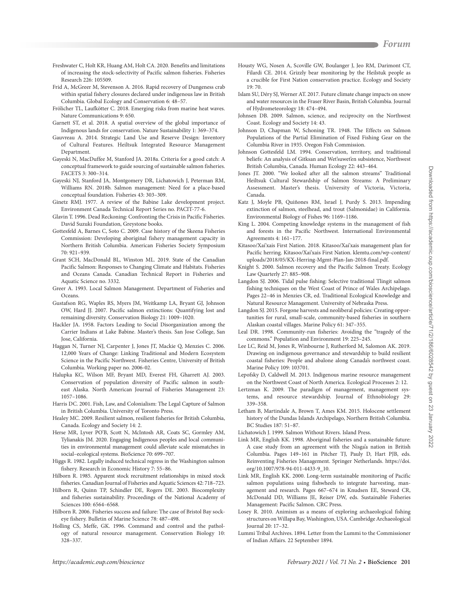- Freshwater C, Holt KR, Huang AM, Holt CA. 2020. Benefits and limitations of increasing the stock-selectivity of Pacific salmon fisheries. Fisheries Research 226: 105509.
- Frid A, McGreer M, Stevenson A. 2016. Rapid recovery of Dungeness crab within spatial fishery closures declared under indigenous law in British Columbia. Global Ecology and Conservation 6: 48–57.
- Frölicher TL, Laufkötter C. 2018. Emerging risks from marine heat waves. Nature Communications 9: 650.
- Garnett ST, et al. 2018. A spatial overview of the global importance of Indigenous lands for conservation. Nature Sustainability 1: 369–374.
- Gauvreau A. 2014. Strategic Land Use and Reserve Design: Inventory of Cultural Features. Heiltsuk Integrated Resource Management Department.
- Gayeski N, MacDuffee M, Stanford JA. 2018a. Criteria for a good catch: A conceptual framework to guide sourcing of sustainable salmon fisheries. FACETS 3: 300–314.
- Gayeski NJ, Stanford JA, Montgomery DR, Lichatowich J, Peterman RM, Williams RN. 2018b. Salmon management: Need for a place-based conceptual foundation. Fisheries 43: 303–309.
- Ginetz RMJ. 1977. A review of the Babine Lake development project. Environment Canada Technical Report Series no. PACIT-77-6.
- Glavin T. 1996. Dead Reckoning: Confronting the Crisis in Pacific Fisheries. David Suzuki Foundation, Greystone books.
- Gottesfeld A, Barnes C, Soto C. 2009. Case history of the Skeena Fisheries Commission: Developing aboriginal fishery management capacity in Northern British Columbia. American Fisheries Society Symposium 70: 921–939.
- Grant SCH, MacDonald BL, Winston ML. 2019. State of the Canadian Pacific Salmon: Responses to Changing Climate and Habitats. Fisheries and Oceans Canada. Canadian Technical Report in Fisheries and Aquatic Science no. 3332.
- Greer A. 1993. Local Salmon Management. Department of Fisheries and Oceans.
- Gustafson RG, Waples RS, Myers JM, Weitkamp LA, Bryant GJ, Johnson OW, Hard JJ. 2007. Pacific salmon extinctions: Quantifying lost and remaining diversity. Conservation Biology 21: 1009–1020.
- Hackler JA. 1958. Factors Leading to Social Disorganization among the Carrier Indians at Lake Babine. Master's thesis. San Jose College, San Jose, California.
- Haggan N, Turner NJ, Carpenter J, Jones JT, Mackie Q, Menzies C. 2006. 12,000 Years of Change: Linking Traditional and Modern Ecosystem Science in the Pacific Northwest. Fisheries Centre, University of British Columbia. Working paper no. 2006-02.
- Halupka KC, Wilson MF, Bryant MD, Everest FH, Gharrett AJ. 2003. Conservation of population diversity of Pacific salmon in southeast Alaska. North American Journal of Fisheries Management 23: 1057–1086.
- Harris DC. 2001. Fish, Law, and Colonialism: The Legal Capture of Salmon in British Columbia. University of Toronto Press.
- Healey MC. 2009. Resilient salmon, resilient fisheries for British Columbia, Canada. Ecology and Society 14: 2.
- Herse MR, Lyver PO'B, Scott N, McIntosh AR, Coats SC, Gormley AM, Tylianakis JM. 2020. Engaging Indigenous peoples and local communities in environmental management could alleviate scale mismatches in social–ecological systems. BioScience 70: 699–707.
- Higgs R. 1982. Legally induced technical regress in the Washington salmon fishery. Research in Economic History 7: 55–86.
- Hilborn R. 1985. Apparent stock recruitment relationships in mixed stock fisheries. Canadian Journal of Fisheries and Aquatic Sciences 42: 718–723.
- Hilborn R, Quinn TP, Schindler DE, Rogers DE. 2003. Biocomplexity and fisheries sustainability. Proceedings of the National Academy of Sciences 100: 6564–6568.
- Hilborn R. 2006. Fisheries success and failure: The case of Bristol Bay sockeye fishery. Bulletin of Marine Science 78: 487–498.
- Holling CS, Meffe, GK. 1996. Command and control and the pathology of natural resource management. Conservation Biology 10: 328–337.
- Housty WG, Nosen A, Scoville GW, Boulanger J, Jeo RM, Darimont CT, Filardi CE. 2014. Grizzly bear monitoring by the Heilstuk people as a crucible for First Nation conservation practice. Ecology and Society 19: 70.
- Islam SU, Déry SJ, Werner AT. 2017. Future climate change impacts on snow and water resources in the Fraser River Basin, British Columbia. Journal of Hydrometeorology 18: 474–494.
- Johnsen DB. 2009. Salmon, science, and reciprocity on the Northwest Coast. Ecology and Society 14: 43.
- Johnson D, Chapman W, Schoning TR. 1948. The Effects on Salmon Populations of the Partial Elimination of Fixed Fishing Gear on the Columbia River in 1935. Oregon Fish Commission.
- Johnson Gottesfeld LM. 1994. Conservation, territory, and traditional beliefs: An analysis of Gitksan and Wet'suwet'en subsistence, Northwest British Columbia, Canada. Human Ecology 22: 443–464.
- Jones JT. 2000. "We looked after all the salmon streams" Traditional Heiltsuk Cultural Stewardship of Salmon Streams: A Preliminary Assessment. Master's thesis. University of Victoria, Victoria, Canada.
- Katz J, Moyle PB, Quiñones RM, Israel J, Purdy S. 2013. Impending extinction of salmon, steelhead, and trout (Salmonidae) in California. Environmental Biology of Fishes 96: 1169–1186.
- King L. 2004. Competing knowledge systems in the management of fish and forests in the Pacific Northwest. International Environmental Agreements 4: 161–177.
- Kitasoo/Xai'xais First Nation. 2018. Kitasoo/Xai'xais management plan for Pacific herring. Kitasoo/Xai'xais First Nation. [klemtu.com/wp-content/](http://www.klemtu.com/wp-content/uploads/2018/05/KX-Herring-Mgmt-Plan-Jan-2018-final.pdf) [uploads/2018/05/KX-Herring-Mgmt-Plan-Jan-2018-final.pdf.](http://www.klemtu.com/wp-content/uploads/2018/05/KX-Herring-Mgmt-Plan-Jan-2018-final.pdf)
- Knight S. 2000. Salmon recovery and the Pacific Salmon Treaty. Ecology Law Quarterly 27: 885–908.
- Langdon SJ. 2006. Tidal pulse fishing: Selective traditional Tlingit salmon fishing techniques on the West Coast of Prince of Wales Archipelago. Pages 22–46 in Menzies CR, ed. Traditional Ecological Knowledge and Natural Resource Management. University of Nebraska Press.
- Langdon SJ. 2015. Forgone harvests and neoliberal policies: Creating opportunities for rural, small-scale, community-based fisheries in southern Alaskan coastal villages. Marine Policy 61: 347–355.
- Leal DR. 1998. Community-run fisheries: Avoiding the "tragedy of the commons." Population and Environment 19: 225–245.
- Lee LC, Reid M, Jones R, Winbourne J, Rutherford M, Salomon AK. 2019. Drawing on indigenous governance and stewardship to build resilient coastal fisheries: People and abalone along Canada's northwest coast. Marine Policy 109: 103701.
- Lepofsky D, Caldwell M. 2013. Indigenous marine resource management on the Northwest Coast of North America. Ecological Processes 2: 12.
- Lertzman K. 2009. The paradigm of management, management systems, and resource stewardship. Journal of Ethnobiology 29: 339–358.
- Letham B, Martindale A, Brown T, Ames KM. 2015. Holocene settlement history of the Dundas Islands Archipelago, Northern British Columbia. BC Studies 187: 51–87.
- Lichatowich J. 1999. Salmon Without Rivers. Island Press.
- Link MR, English KK. 1998. Aboriginal fisheries and a sustainable future: A case study from an agreement with the Nisga'a nation in British Columbia. Pages 149–161 in Pitcher TJ, Pauly D, Hart PJB, eds. Reinventing Fisheries Management. Springer Netherlands. https://doi. org/10.1007/978-94-011-4433-9\_10.
- Link MR, English KK. 2000. Long-term sustainable monitoring of Pacific salmon populations using fishwheels to integrate harvesting, management and research. Pages 667–674 in Knudsen EE, Steward CR, McDonald DD, Williams JE, Reiser DW, eds. Sustainable Fisheries Management: Pacific Salmon. CRC Press.
- Losey R. 2010. Animism as a means of exploring archaeological fishing structures on Willapa Bay, Washington, USA. Cambridge Archaeological Journal 20: 17–32.
- Lummi Tribal Archives. 1894. Letter from the Lummi to the Commissioner of Indian Affairs. 22 September 1894.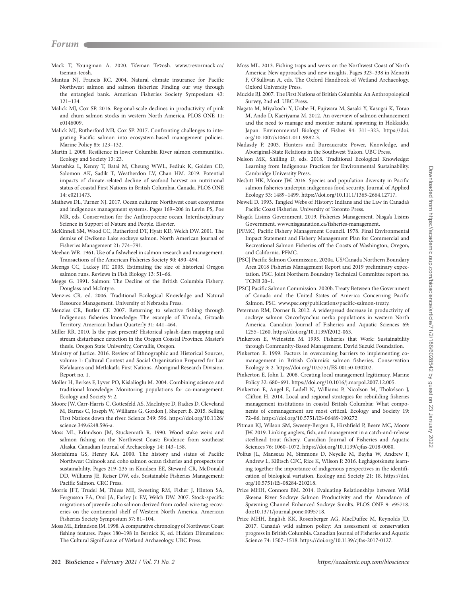- Mack T, Youngman A. 2020. Ts'eman Te?osh. www.trevormack.ca/ tseman-teosh.
- Mantua NJ, Francis RC. 2004. Natural climate insurance for Pacific Northwest salmon and salmon fisheries: Finding our way through the entangled bank. American Fisheries Society Symposium 43: 121–134.
- Malick MJ, Cox SP. 2016. Regional-scale declines in productivity of pink and chum salmon stocks in western North America. PLOS ONE 11: e0146009.
- Malick MJ, Rutherford MB, Cox SP. 2017. Confronting challenges to integrating Pacific salmon into ecosystem-based management policies. Marine Policy 85: 123–132.
- Martin I. 2008. Resilience in lower Columbia River salmon communities. Ecology and Society 13: 23.
- Marushka L, Kenny T, Batai M, Cheung WWL, Fediuk K, Golden CD, Salomon AK, Sadik T, Weatherdon LV, Chan HM. 2019. Potential impacts of climate-related decline of seafood harvest on nutritional status of coastal First Nations in British Columbia, Canada. PLOS ONE 14: e0211473.
- Mathews DL, Turner NJ. 2017. Ocean cultures: Northwest coast ecosystems and indigenous management systems. Pages 169–206 in Levin PS, Poe MR, eds. Conservation for the Anthropocene ocean. Interdisciplinary Science in Support of Nature and People. Elsevier.
- McKinnell SM, Wood CC, Rutherford DT, Hyatt KD, Welch DW. 2001. The demise of Owikeno Lake sockeye salmon. North American Journal of Fisheries Management 21: 774–791.
- Meehan WR. 1961. Use of a fishwheel in salmon research and management. Transactions of the American Fisheries Society 90: 490–494.
- Meengs CC, Lackey RT. 2005. Estimating the size of historical Oregon salmon runs. Reviews in Fish Biology 13: 51–66.
- Meggs G. 1991. Salmon: The Decline of the British Columbia Fishery. Douglass and McIntyre.
- Menzies CR. ed. 2006. Traditional Ecological Knowledge and Natural Resource Management. University of Nebraska Press.
- Menzies CR, Butler CF. 2007. Returning to selective fishing through Indigenous fisheries knowledge: The example of K'moda, Gitxaała Territory. American Indian Quarterly 31: 441–464.
- Miller RR. 2010. Is the past present? Historical splash-dam mapping and stream disturbance detection in the Oregon Coastal Province. Master's thesis. Oregon State University, Corvallis, Oregon.
- Ministry of Justice. 2016. Review of Ethnographic and Historical Sources, volume 1: Cultural Context and Social Organization Prepared for Lax Kw'alaams and Metlakatla First Nations. Aboriginal Research Division. Report no. 1.
- Moller H, Berkes F, Lyver PO, Kislalioglu M. 2004. Combining science and traditional knowledge: Monitoring populations for co-management. Ecology and Society 9: 2.
- Moore JW, Carr-Harris C, Gottesfeld AS, MacIntyre D, Radies D, Cleveland M, Barnes C, Joseph W, Williams G, Gordon J, Shepert B. 2015. Selling First Nations down the river. Science 349: 596. https://doi.org/10.1126/ science.349.6248.596-a.
- Moss ML, Erlandson JM, Stuckenrath R. 1990. Wood stake weirs and salmon fishing on the Northwest Coast: Evidence from southeast Alaska. Canadian Journal of Archaeology 14: 143–158.
- Morishima GS, Henry KA. 2000. The history and status of Pacific Northwest Chinook and coho salmon ocean fisheries and prospects for sustainability. Pages 219–235 in Knudsen EE, Steward CR, McDonald DD, Williams JE, Reiser DW, eds. Sustainable Fisheries Management: Pacific Salmon. CRC Press.
- Morris JFT, Trudel M, Thiess ME, Sweeting RM, Fisher J, Hinton SA, Fergusson EA, Orsi JA, Farley Jr. EV, Welch DW. 2007. Stock-specific migrations of juvenile coho salmon derived from coded-wire tag recoveries on the continental shelf of Western North America. American Fisheries Society Symposium 57: 81–104.
- Moss ML, Erlandson JM. 1998. A comparative chronology of Northwest Coast fishing features. Pages 180–198 in Bernick K, ed. Hidden Dimensions: The Cultural Significance of Wetland Archaeology. UBC Press.
- Moss ML. 2013. Fishing traps and weirs on the Northwest Coast of North America: New approaches and new insights. Pages 323–338 in Menotti F, O'Sullivan A, eds. The Oxford Handbook of Wetland Archaeology. Oxford University Press.
- Muckle RJ. 2007. The First Nations of British Columbia: An Anthropological Survey, 2nd ed. UBC Press.
- Nagata M, Miyakoshi Y, Urabe H, Fujiwara M, Sasaki Y, Kasugai K, Torao M, Ando D, Kaeriyama M. 2012. An overview of salmon enhancement and the need to manage and monitor natural spawning in Hokkaido, Japan. Environmental Biology of Fishes 94: 311–323. https://doi. org/10.1007/s10641-011-9882-3.
- Nadasdy P. 2003. Hunters and Bureaucrats: Power, Knowledge, and Aboriginal-State Relations in the Southwest Yukon. UBC Press.
- Nelson MK, Shilling D, eds. 2018. Traditional Ecological Knowledge: Learning from Indigenous Practices for Environmental Sustainability. Cambridge University Press.
- Nesbitt HK, Moore JW. 2016. Species and population diversity in Pacific salmon fisheries underpin indigenous food security. Journal of Applied Ecology 53: 1489–1499. https://doi.org/10.1111/1365-2664.12717.
- Newell D. 1993. Tangled Webs of History: Indians and the Law in Canada's Pacific Coast Fisheries. University of Toronto Press.
- Nisga'a Lisims Government. 2019. Fisheries Management. Nisga'a Lisims Government. www.nisgaanation.ca/fisheries-management.
- [PFMC] Pacific Fishery Management Council. 1978. Final Environmental Impact Statement and Fishery Management Plan for Commercial and Recreational Salmon Fisheries off the Coasts of Washington, Oregon, and California. PFMC.
- [PSC] Pacific Salmon Commission. 2020a. US/Canada Northern Boundary Area 2018 Fisheries Management Report and 2019 preliminary expectation. PSC. Joint Northern Boundary Technical Committee report no. TCNB 20–1.
- [PSC] Pacific Salmon Commission. 2020b. Treaty Between the Government of Canada and the United States of America Concerning Pacific Salmon. PSC. www.psc.org/publications/pacific-salmon-treaty.
- Peterman RM, Dorner B. 2012. A widespread decrease in productivity of sockeye salmon Oncorhynchus nerka populations in western North America. Canadian Journal of Fisheries and Aquatic Sciences 69: 1255–1260. https://doi.org/10.1139/f2012-063.
- Pinkerton E, Weinstein M. 1995. Fisheries that Work: Sustainability through Community-Based Management. David Suzuki Foundation.
- Pinkerton E. 1999. Factors in overcoming barriers to implementing comanagement in British Columia's salmon fisheries. Conservation Ecology 3: 2. https://doi.org/10.5751/ES-00150-030202.
- Pinkerton E, John L. 2008. Creating local management legitimacy. Marine Policy 32: 680–691. https://doi.org/10.1016/j.marpol.2007.12.005.
- Pinkerton E, Angel E, Ladell N, Williams P, Nicolson M, Thokelson J, Clifton H. 2014. Local and regional strategies for rebuilding fisheries management institutions in coastal British Columbia: What components of comanagement are most critical. Ecology and Society 19: 72–86. https://doi.org/10.5751/ES-06489-190272
- Pitman KJ, Wilson SM, Sweeny-Bergen E, Hirshfield P, Beere MC, Moore JW. 2019. Linking anglers, fish, and management in a catch-and-release steelhead trout fishery. Canadian Journal of Fisheries and Aquatic Sciences 76: 1060–1072. https://doi.org/10.1139/cjfas-2018-0080.
- Polfus JL, Manseau M, Simmons D, Neyelle M, Bayha W, Andrew F, Andrew L, Klütsch CFC, Rice K, Wilson P. 2016. Łeghágots'enetę learning together the importance of indigenous perspectives in the identification of biological variation. Ecology and Society 21: 18. https://doi. org/10.5751/ES-08284-210218.
- Price MHH, Connors BM. 2014. Evaluating Relationships between Wild Skeena River Sockeye Salmon Productivity and the Abundance of Spawning Channel Enhanced Sockeye Smolts. PLOS ONE 9: e95718. doi:10.1371/journal.pone.0095718.
- Price MHH, English KK, Rosenberger AG, MacDuffee M, Reynolds JD. 2017. Canada's wild salmon policy: An assessment of conservation progress in British Columbia. Canadian Journal of Fisheries and Aquatic Science 74: 1507–1518. https://doi.org/10.1139/cjfas-2017-0127.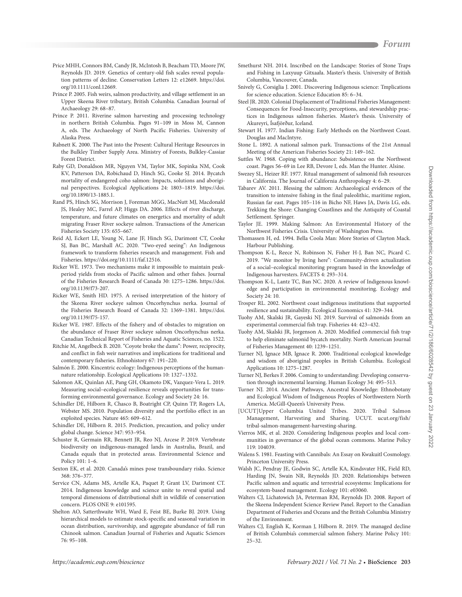- Price MHH, Connors BM, Candy JR, McIntosh B, Beacham TD, Moore JW, Reynolds JD. 2019. Genetics of century-old fish scales reveal population patterns of decline. Conservation Letters 12: e12669. https://doi. org/10.1111/conl.12669.
- Prince P. 2005. Fish weirs, salmon productivity, and village settlement in an Upper Skeena River tributary, British Columbia. Canadian Journal of Archaeology 29: 68–87.
- Prince P. 2011. Riverine salmon harvesting and processing technology in northern British Columbia. Pages 91–109 in Moss M, Cannon A, eds. The Archaeology of North Pacific Fisheries. University of Alaska Press.
- Rabnett K. 2000. The Past into the Present: Cultural Heritage Resources in the Bulkley Timber Supply Area. Ministry of Forests, Bulkley-Cassiar Forest District.
- Raby GD, Donaldson MR, Nguyen VM, Taylor MK, Sopinka NM, Cook KV, Patterson DA, Robichaud D, Hinch SG, Cooke SJ. 2014. Bycatch mortality of endangered coho salmon: Impacts, solutions and aboriginal perspectives. Ecological Applications 24: 1803–1819. https://doi. org/10.1890/13-1885.1.
- Rand PS, Hinch SG, Morrison J, Foreman MGG, MacNutt MJ, Macdonald JS, Healey MC, Farrel AP, Higgs DA. 2006. Effects of river discharge, temperature, and future climates on energetics and mortality of adult migrating Fraser River sockeye salmon. Transactions of the American Fisheries Society 135: 655–667.
- Reid AJ, Eckert LE, Young N, Lane JF, Hinch SG, Darimont CT, Cooke SJ, Ban BC, Marshall AC. 2020. "Two-eyed seeing": An Indigenous framework to transform fisheries research and management. Fish and Fisheries. https://doi.org/10.1111/faf.12516.
- Ricker WE. 1973. Two mechanisms make it impossible to maintain peakperiod yields from stocks of Pacific salmon and other fishes. Journal of the Fisheries Research Board of Canada 30: 1275–1286. https://doi. org/10.1139/f73-207.
- Ricker WE, Smith HD. 1975. A revised interpretation of the history of the Skeena River sockeye salmon Oncorhynchus nerka. Journal of the Fisheries Research Board of Canada 32: 1369–1381. https://doi. org/10.1139/f75-157.
- Ricker WE. 1987. Effects of the fishery and of obstacles to migration on the abundance of Fraser River sockeye salmon Oncorhynchus nerka. Canadian Technical Report of Fisheries and Aquatic Sciences, no. 1522.
- Ritchie M, Angelbeck B. 2020. "Coyote broke the dams": Power, reciprocity, and conflict in fish weir narratives and implications for traditional and contemporary fisheries. Ethnohistory 67: 191–220.
- Salmón E. 2000. Kincentric ecology: Indigenous perceptions of the humannature relationship. Ecological Applications 10: 1327–1332.
- Salomon AK, Quinlan AE, Pang GH, Okamoto DK, Vazquez-Vera L. 2019. Measuring social–ecological resilience reveals opportunities for transforming environmental governance. Ecology and Society 24: 16.
- Schindler DE, Hilborn R, Chasco B, Boatright CP, Quinn TP, Rogers LA, Webster MS. 2010. Population diversity and the portfolio effect in an exploited species. Nature 465: 609–612.
- Schindler DE, Hilborn R. 2015. Prediction, precaution, and policy under global change. Science 347: 953–954.
- Schuster R, Germain RR, Bennett JR, Reo NJ, Arcese P. 2019. Vertebrate biodiversity on indigenous-managed lands in Australia, Brazil, and Canada equals that in protected areas. Environmental Science and Policy 101: 1–6.
- Sexton EK, et al. 2020. Canada's mines pose transboundary risks. Science 368: 376–377.
- Service CN, Adams MS, Artelle KA, Paquet P, Grant LV, Darimont CT. 2014. Indigenous knowledge and science unite to reveal spatial and temporal dimensions of distributional shift in wildlife of conservation concern. PLOS ONE 9: e101595.
- Shelton AO, Satterthwaite WH, Ward E, Feist BE, Burke BJ. 2019. Using hierarchical models to estimate stock-specific and seasonal variation in ocean distribution, survivorship, and aggregate abundance of fall run Chinook salmon. Canadian Journal of Fisheries and Aquatic Sciences 76: 95–108.
- Smethurst NH. 2014. Inscribed on the Landscape: Stories of Stone Traps and Fishing in Laxyuup Gitxaała. Master's thesis. University of British Columbia, Vancouver, Canada.
- Snively G, Corsiglia J. 2001. Discovering Indigenous science: Tmplications for science education. Science Education 85: 6–34.
- Steel JR. 2020. Colonial Displacement of Traditional Fisheries Management: Consequences for Food-Insecurity, perceptions, and stewardship practices in Indigenous salmon fisheries. Master's thesis. University of Akureyri, Ísafjörður, Iceland.
- Stewart H. 1977. Indian Fishing: Early Methods on the Northwest Coast. Douglas and MacIntyre.
- Stone L. 1892. A national salmon park. Transactions of the 21st Annual Meeting of the American Fisheries Society 21: 149–162.
- Suttles W. 1968. Coping with abundance: Subsistence on the Northwest coast. Pages 56–69 in Lee RB, Devore I, eds. Man the Hunter. Alsine.
- Swezey SL, Heizer RF. 1977. Ritual management of salmonid fish resources in California. The Journal of California Anthropology 4: 6–29.
- Tabarev AV. 2011. Blessing the salmon: Archaeological evidences of the transition to intensive fishing in the final paleolithic, maritime region, Russian far east. Pages 105–116 in Bicho NF, Haws JA, Davis LG, eds. Trekking the Shore: Changing Coastlines and the Antiquity of Coastal Settlement. Springer.
- Taylor JE. 1999. Making Salmon: An Environmental History of the Northwest Fisheries Crisis. University of Washington Press.
- Thomassen H, ed. 1994. Bella Coola Man: More Stories of Clayton Mack. Harbour Publishing.
- Thompson K-L, Reece N, Robinson N, Fisher H-J, Ban NC, Picard C. 2019. "We monitor by living here": Community-driven actualization of a social–ecological monitoring program based in the knowledge of Indigenous harvesters. FACETS 4: 293–314.
- Thompson K-L, Lantz TC, Ban NC. 2020. A review of Indigenous knowledge and participation in environmental monitoring. Ecology and Society 24: 10.
- Trosper RL. 2002. Northwest coast indigenous institutions that supported resilience and sustainability. Ecological Economics 41: 329–344.
- Tuohy AM, Skalski JR, Gayeski NJ. 2019. Survival of salmonids from an experimental commercial fish trap. Fisheries 44: 423–432.
- Tuohy AM, Skalski JR, Jorgenson A. 2020. Modified commercial fish trap to help eliminate salmonid bycatch mortality. North American Journal of Fisheries Management 40: 1239–1251.
- Turner NJ, Ignace MB, Ignace R. 2000. Traditional ecological knowledge and wisdom of aboriginal peoples in British Columbia. Ecological Applications 10: 1275–1287.
- Turner NJ, Berkes F. 2006. Coming to understanding: Developing conservation through incremental learning. Human Ecology 34: 495–513.
- Turner NJ. 2014. Ancient Pathways, Ancestral Knowledge: Ethnobotany and Ecological Wisdom of Indigenous Peoples of Northwestern North America. McGill-Queen's University Press.
- [UCUT]Upper Columbia United Tribes. 2020. Tribal Salmon Management, Harvesting and Sharing. UCUT. ucut.org/fish/ tribal-salmon-management-harvesting-sharing.
- Vierros MK, et al. 2020. Considering Indigenous peoples and local communities in governance of the global ocean commons. Marine Policy 119: 104039.
- Walens S. 1981. Feasting with Cannibals: An Essay on Kwakuitl Cosmology. Princeton University Press.
- Walsh JC, Pendray JE, Godwin SC, Artelle KA, Kindsvater HK, Field RD, Harding JN, Swain NR, Reynolds JD. 2020. Relationships between Pacific salmon and aquatic and terrestrial ecosystems: Implications for ecosystem-based management. Ecology 101: e03060.
- Walters CJ, Lichatowich JA, Peterman RM, Reynolds JD. 2008. Report of the Skeena Independent Science Review Panel. Report to the Canadian Department of Fisheries and Oceans and the British Columbia Ministry of the Environment.
- Walters CJ, English K, Korman J, Hilborn R. 2019. The managed decline of British Columbia's commercial salmon fishery. Marine Policy 101: 25–32.